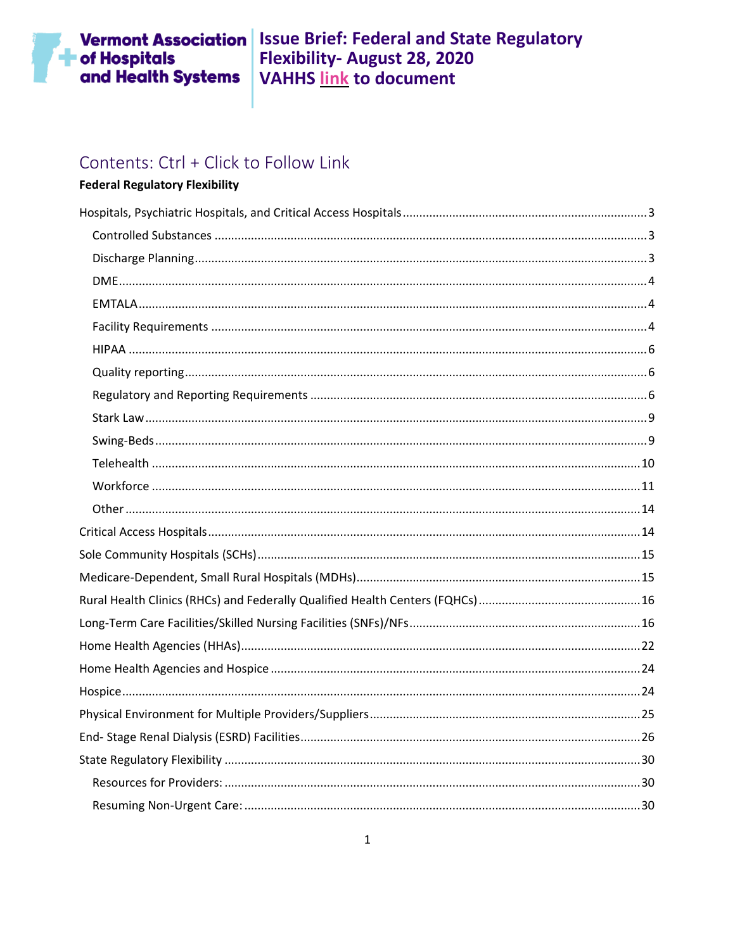# **The of Hospitals**<br>and Health Systems

# Contents: Ctrl + Click to Follow Link

#### **Federal Regulatory Flexibility**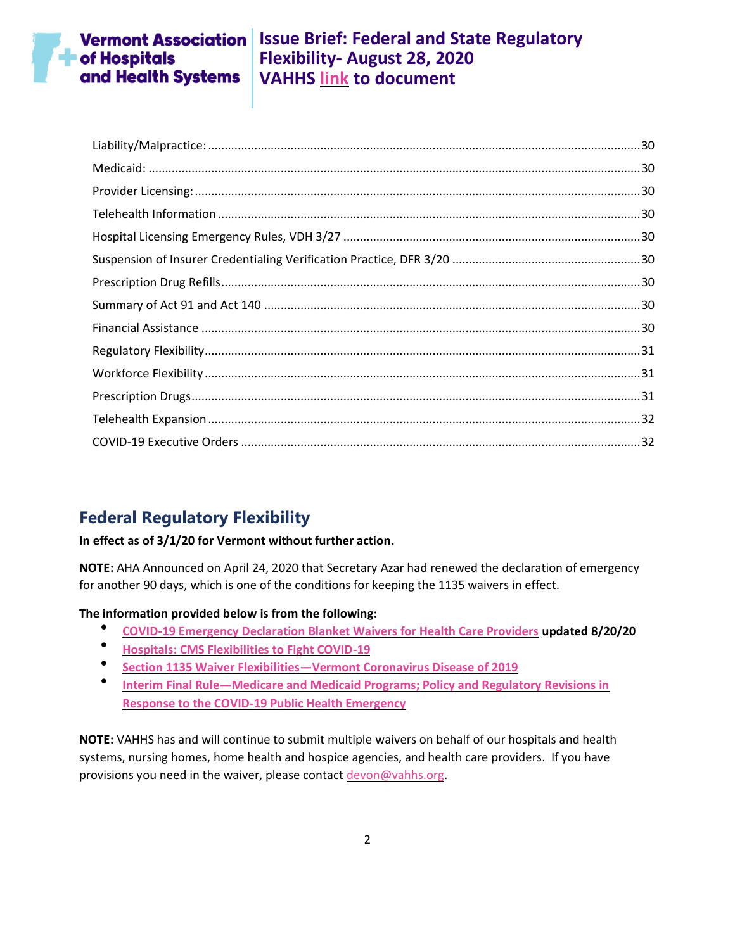

### **Vermont Association** Issue Brief: Federal and State Regulatory **Flexibility- August 28, 2020 VAHHS [link](https://vahhs.org/coronavirus-resources-for-health-care-providers) to document**

# **Federal Regulatory Flexibility**

#### **In effect as of 3/1/20 for Vermont without further action.**

**NOTE:** AHA Announced on April 24, 2020 that Secretary Azar had renewed the declaration of emergency for another 90 days, which is one of the conditions for keeping the 1135 waivers in effect.

#### **The information provided below is from the following:**

- **[COVID-19 Emergency Declaration Blanket Waivers for Health Care Providers](https://www.cms.gov/files/document/summary-covid-19-emergency-declaration-waivers.pdf) updated 8/20/20**
- **[Hospitals: CMS Flexibilities to Fight COVID-19](https://www.cms.gov/files/document/covid-hospitals.pdf)**
- **Section 1135 Waiver Flexibilities—[Vermont Coronavirus Disease of 2019](https://www.medicaid.gov/state-resource-center/disaster-response-toolkit/federal-disaster-resources/entry/54091)**
- **Interim Final Rule—[Medicare and Medicaid Programs; Policy and Regulatory Revisions in](https://www.cms.gov/files/document/covid-final-ifc.pdf)  [Response to the COVID-19 Public Health Emergency](https://www.cms.gov/files/document/covid-final-ifc.pdf)**

**NOTE:** VAHHS has and will continue to submit multiple waivers on behalf of our hospitals and health systems, nursing homes, home health and hospice agencies, and health care providers. If you have provisions you need in the waiver, please contact [devon@vahhs.org.](mailto:devon@vahhs.org)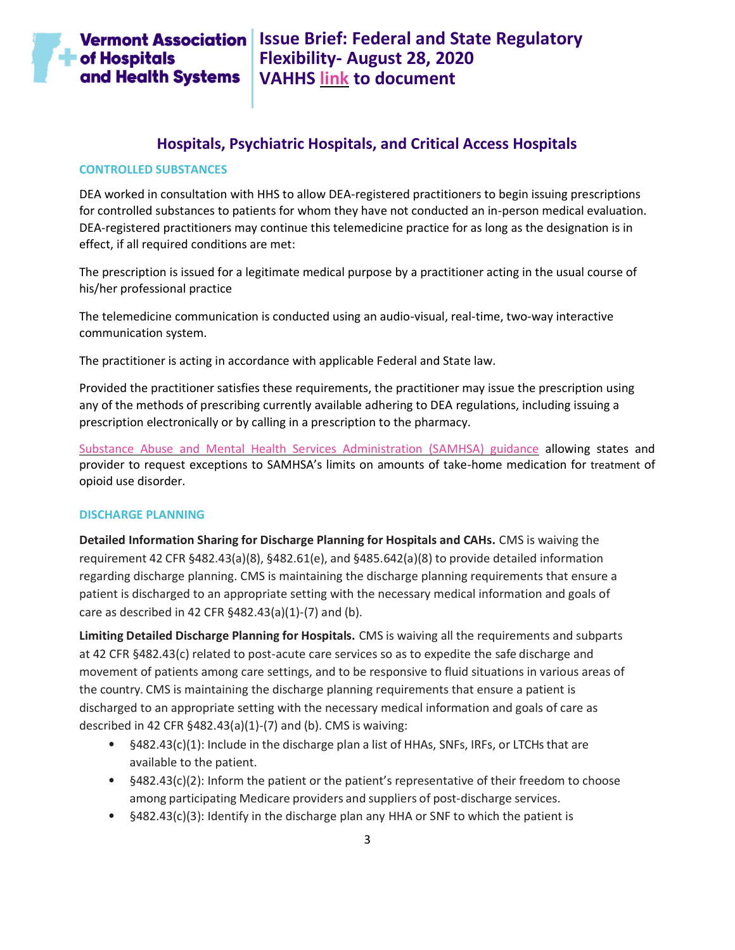

### **Hospitals, Psychiatric Hospitals, and Critical Access Hospitals**

#### <span id="page-2-1"></span><span id="page-2-0"></span>**CONTROLLED SUBSTANCES**

DEA worked in consultation with HHS to allow DEA-registered practitioners to begin issuing prescriptions for controlled substances to patients for whom they have not conducted an in-person medical evaluation. DEA-registered practitioners may continue this telemedicine practice for as long as the designation is in effect, if all required conditions are met:

The prescription is issued for a legitimate medical purpose by a practitioner acting in the usual course of his/her professional practice

The telemedicine communication is conducted using an audio-visual, real-time, two-way interactive communication system.

The practitioner is acting in accordance with applicable Federal and State law.

Provided the practitioner satisfies these requirements, the practitioner may issue the prescription using any of the methods of prescribing currently available adhering to DEA regulations, including issuing a prescription electronically or by calling in a prescription to the pharmacy.

[Substance Abuse and Mental Health Services Administration \(SAMHSA\) guidance](https://www.samhsa.gov/sites/default/files/otp-guidance-20200316.pdf) allowing states and provider to request exceptions to SAMHSA's limits on amounts of take-home medication for treatment of opioid use disorder.

#### <span id="page-2-2"></span>**DISCHARGE PLANNING**

**Detailed Information Sharing for Discharge Planning for Hospitals and CAHs.** CMS is waiving the requirement 42 CFR §482.43(a)(8), §482.61(e), and §485.642(a)(8) to provide detailed information regarding discharge planning. CMS is maintaining the discharge planning requirements that ensure a patient is discharged to an appropriate setting with the necessary medical information and goals of care as described in 42 CFR §482.43(a)(1)-(7) and (b).

**Limiting Detailed Discharge Planning for Hospitals.** CMS is waiving all the requirements and subparts at 42 CFR §482.43(c) related to post-acute care services so as to expedite the safe discharge and movement of patients among care settings, and to be responsive to fluid situations in various areas of the country. CMS is maintaining the discharge planning requirements that ensure a patient is discharged to an appropriate setting with the necessary medical information and goals of care as described in 42 CFR §482.43(a)(1)-(7) and (b). CMS is waiving:

- §482.43(c)(1): Include in the discharge plan a list of HHAs, SNFs, IRFs, or LTCHs that are available to the patient.
- $§482.43(c)(2)$ : Inform the patient or the patient's representative of their freedom to choose among participating Medicare providers and suppliers of post-discharge services.
- §482.43(c)(3): Identify in the discharge plan any HHA or SNF to which the patient is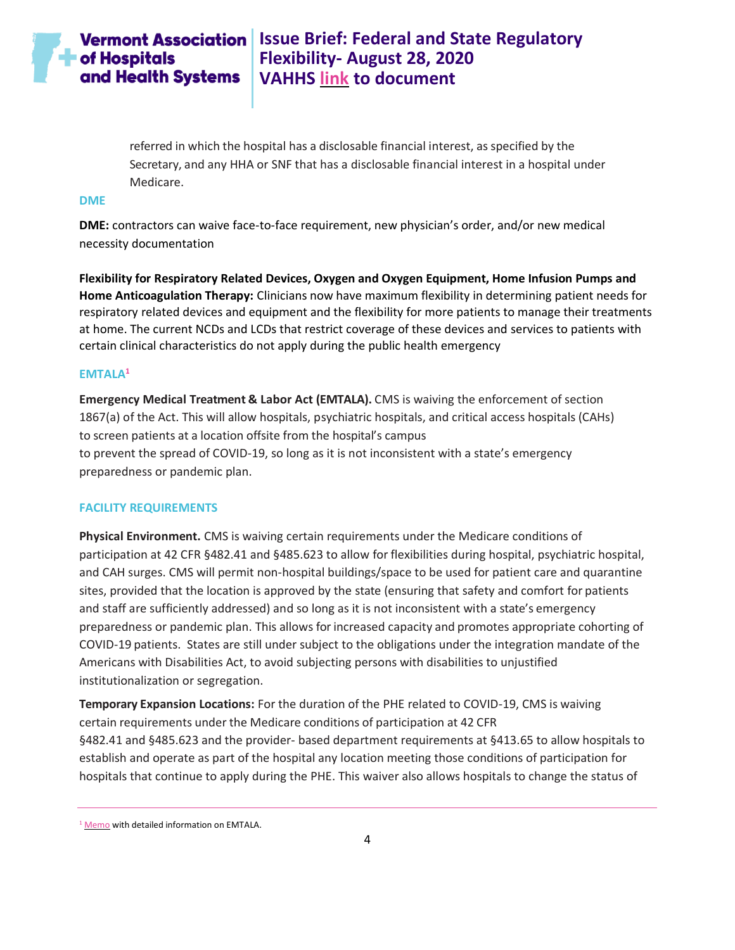referred in which the hospital has a disclosable financial interest, as specified by the Secretary, and any HHA or SNF that has a disclosable financial interest in a hospital under Medicare.

#### <span id="page-3-0"></span>**DME**

**DME:** contractors can waive face-to-face requirement, new physician's order, and/or new medical necessity documentation

**Flexibility for Respiratory Related Devices, Oxygen and Oxygen Equipment, Home Infusion Pumps and Home Anticoagulation Therapy:** Clinicians now have maximum flexibility in determining patient needs for respiratory related devices and equipment and the flexibility for more patients to manage their treatments at home. The current NCDs and LCDs that restrict coverage of these devices and services to patients with certain clinical characteristics do not apply during the public health emergency

#### <span id="page-3-1"></span>**EMTALA<sup>1</sup>**

**Emergency Medical Treatment & Labor Act (EMTALA).** CMS is waiving the enforcement of section 1867(a) of the Act. This will allow hospitals, psychiatric hospitals, and critical access hospitals (CAHs) to screen patients at a location offsite from the hospital's campus to prevent the spread of COVID-19, so long as it is not inconsistent with a state's emergency preparedness or pandemic plan.

#### <span id="page-3-2"></span>**FACILITY REQUIREMENTS**

**Physical Environment.** CMS is waiving certain requirements under the Medicare conditions of participation at 42 CFR §482.41 and §485.623 to allow for flexibilities during hospital, psychiatric hospital, and CAH surges. CMS will permit non-hospital buildings/space to be used for patient care and quarantine sites, provided that the location is approved by the state (ensuring that safety and comfort for patients and staff are sufficiently addressed) and so long as it is not inconsistent with a state's emergency preparedness or pandemic plan. This allows for increased capacity and promotes appropriate cohorting of COVID-19 patients. States are still under subject to the obligations under the integration mandate of the Americans with Disabilities Act, to avoid subjecting persons with disabilities to unjustified institutionalization or segregation.

**Temporary Expansion Locations:** For the duration of the PHE related to COVID-19, CMS is waiving certain requirements under the Medicare conditions of participation at 42 CFR §482.41 and §485.623 and the provider- based department requirements at §413.65 to allow hospitals to establish and operate as part of the hospital any location meeting those conditions of participation for hospitals that continue to apply during the PHE. This waiver also allows hospitals to change the status of

<sup>&</sup>lt;sup>1</sup> [Memo](https://www.cms.gov/files/document/qso-20-15-hospitalcahemtala.pdf) with detailed information on EMTALA.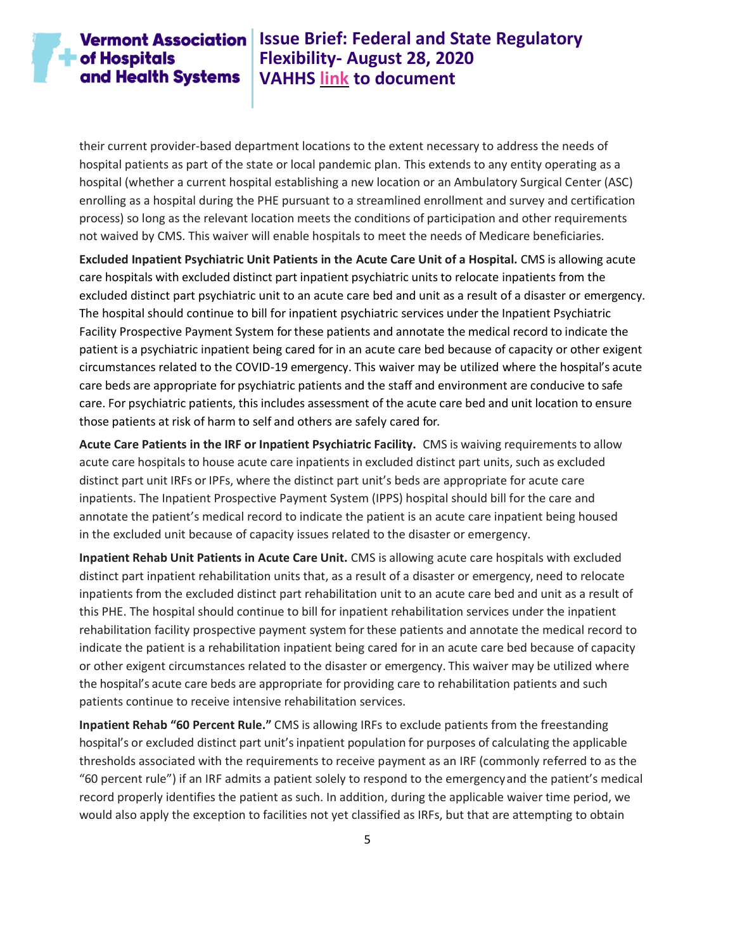## **Vermont Association** Issue Brief: Federal and State Regulatory **Flexibility- August 28, 2020 VAHHS [link](https://vahhs.org/coronavirus-resources-for-health-care-providers) to document**

their current provider-based department locations to the extent necessary to address the needs of hospital patients as part of the state or local pandemic plan. This extends to any entity operating as a hospital (whether a current hospital establishing a new location or an Ambulatory Surgical Center (ASC) enrolling as a hospital during the PHE pursuant to a streamlined enrollment and survey and certification process) so long as the relevant location meets the conditions of participation and other requirements not waived by CMS. This waiver will enable hospitals to meet the needs of Medicare beneficiaries.

**Excluded Inpatient Psychiatric Unit Patients in the Acute Care Unit of a Hospital.** CMS is allowing acute care hospitals with excluded distinct part inpatient psychiatric units to relocate inpatients from the excluded distinct part psychiatric unit to an acute care bed and unit as a result of a disaster or emergency. The hospital should continue to bill for inpatient psychiatric services under the Inpatient Psychiatric Facility Prospective Payment System for these patients and annotate the medical record to indicate the patient is a psychiatric inpatient being cared for in an acute care bed because of capacity or other exigent circumstances related to the COVID-19 emergency. This waiver may be utilized where the hospital's acute care beds are appropriate for psychiatric patients and the staff and environment are conducive to safe care. For psychiatric patients, this includes assessment of the acute care bed and unit location to ensure those patients at risk of harm to self and others are safely cared for.

**Acute Care Patients in the IRF or Inpatient Psychiatric Facility.** CMS is waiving requirements to allow acute care hospitals to house acute care inpatients in excluded distinct part units, such as excluded distinct part unit IRFs or IPFs, where the distinct part unit's beds are appropriate for acute care inpatients. The Inpatient Prospective Payment System (IPPS) hospital should bill for the care and annotate the patient's medical record to indicate the patient is an acute care inpatient being housed in the excluded unit because of capacity issues related to the disaster or emergency.

**Inpatient Rehab Unit Patients in Acute Care Unit.** CMS is allowing acute care hospitals with excluded distinct part inpatient rehabilitation units that, as a result of a disaster or emergency, need to relocate inpatients from the excluded distinct part rehabilitation unit to an acute care bed and unit as a result of this PHE. The hospital should continue to bill for inpatient rehabilitation services under the inpatient rehabilitation facility prospective payment system for these patients and annotate the medical record to indicate the patient is a rehabilitation inpatient being cared for in an acute care bed because of capacity or other exigent circumstances related to the disaster or emergency. This waiver may be utilized where the hospital's acute care beds are appropriate for providing care to rehabilitation patients and such patients continue to receive intensive rehabilitation services.

**Inpatient Rehab "60 Percent Rule."** CMS is allowing IRFs to exclude patients from the freestanding hospital's or excluded distinct part unit's inpatient population for purposes of calculating the applicable thresholds associated with the requirements to receive payment as an IRF (commonly referred to as the "60 percent rule") if an IRF admits a patient solely to respond to the emergencyand the patient's medical record properly identifies the patient as such. In addition, during the applicable waiver time period, we would also apply the exception to facilities not yet classified as IRFs, but that are attempting to obtain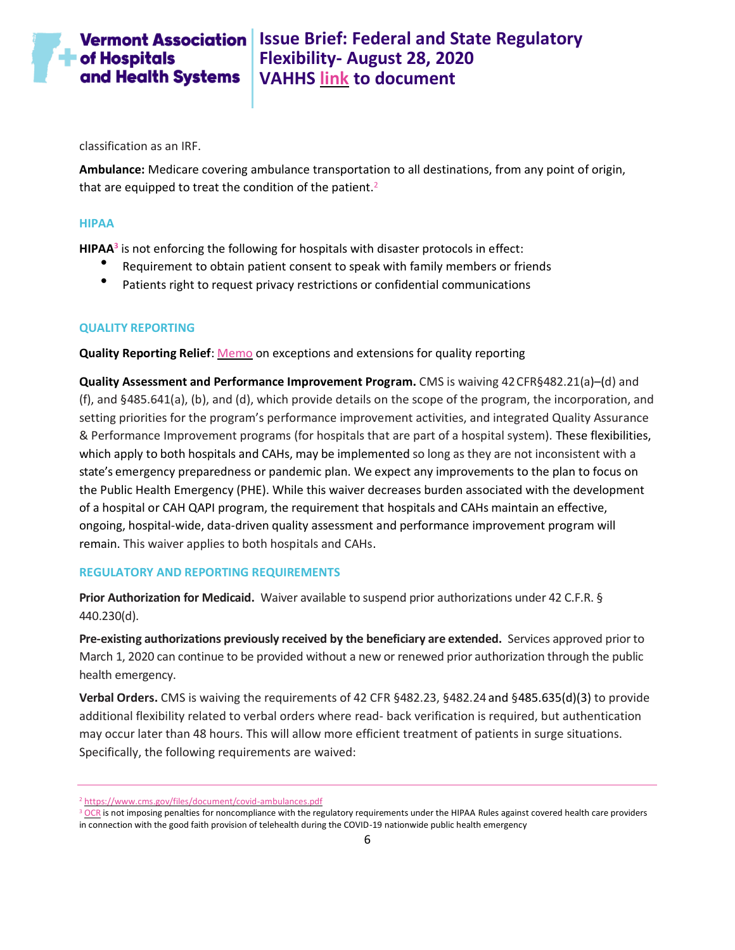classification as an IRF.

**Ambulance:** Medicare covering ambulance transportation to all destinations, from any point of origin, that are equipped to treat the condition of the patient.<sup>2</sup>

#### <span id="page-5-0"></span>**HIPAA**

**HIPAA<sup>3</sup>** is not enforcing the following for hospitals with disaster protocols in effect:

- Requirement to obtain patient consent to speak with family members or friends
- Patients right to request privacy restrictions or confidential communications

#### <span id="page-5-1"></span>**QUALITY REPORTING**

**Quality Reporting Relief**: [Memo](https://www.cms.gov/files/document/guidance-memo-exceptions-and-extensions-quality-reporting-and-value-based-purchasing-programs.pdf) on exceptions and extensions for quality reporting

**Quality Assessment and Performance Improvement Program.** CMS is waiving 42CFR§482.21(a)–(d) and (f), and §485.641(a), (b), and (d), which provide details on the scope of the program, the incorporation, and setting priorities for the program's performance improvement activities, and integrated Quality Assurance & Performance Improvement programs (for hospitals that are part of a hospital system). These flexibilities, which apply to both hospitals and CAHs, may be implemented so long as they are not inconsistent with a state's emergency preparedness or pandemic plan. We expect any improvements to the plan to focus on the Public Health Emergency (PHE). While this waiver decreases burden associated with the development of a hospital or CAH QAPI program, the requirement that hospitals and CAHs maintain an effective, ongoing, hospital-wide, data-driven quality assessment and performance improvement program will remain. This waiver applies to both hospitals and CAHs.

#### <span id="page-5-2"></span>**REGULATORY AND REPORTING REQUIREMENTS**

**Prior Authorization for Medicaid.** Waiver available to suspend prior authorizations under 42 C.F.R. § 440.230(d).

**Pre-existing authorizations previously received by the beneficiary are extended.** Services approved prior to March 1, 2020 can continue to be provided without a new or renewed prior authorization through the public health emergency.

**Verbal Orders.** CMS is waiving the requirements of 42 CFR §482.23, §482.24 and §485.635(d)(3) to provide additional flexibility related to verbal orders where read- back verification is required, but authentication may occur later than 48 hours. This will allow more efficient treatment of patients in surge situations. Specifically, the following requirements are waived:

<sup>2</sup> <https://www.cms.gov/files/document/covid-ambulances.pdf>

<sup>&</sup>lt;sup>3</sup> [OCR](https://www.hhs.gov/hipaa/for-professionals/special-topics/emergency-preparedness/notification-enforcement-discretion-telehealth/index.html) is not imposing penalties for noncompliance with the regulatory requirements under the HIPAA Rules against covered health care providers in connection with the good faith provision of telehealth during the COVID-19 nationwide public health emergency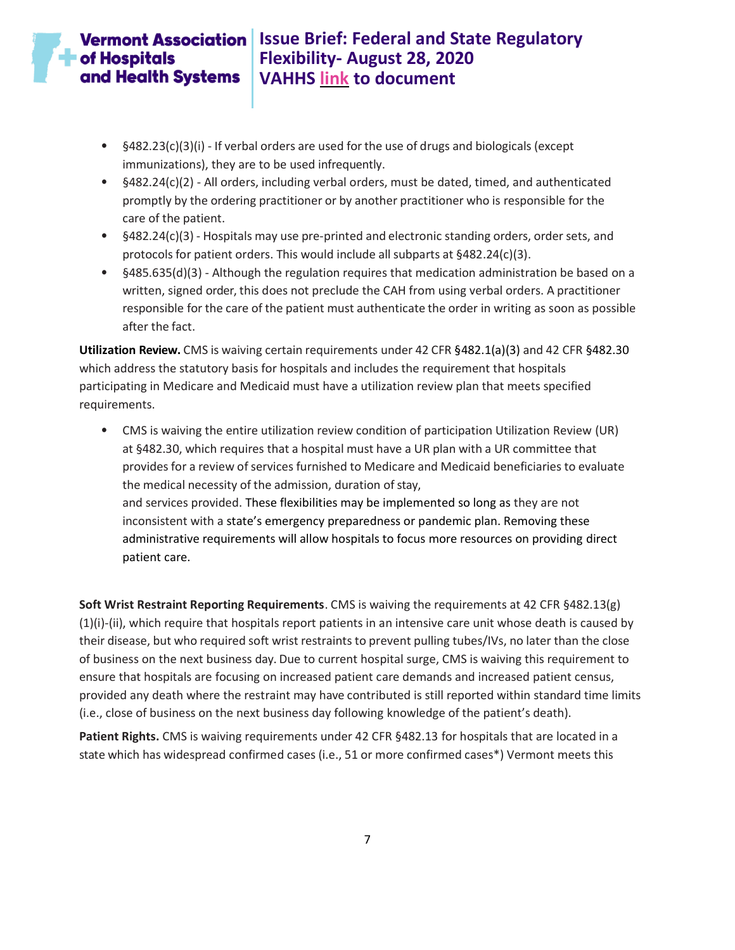- §482.23(c)(3)(i) If verbal orders are used forthe use of drugs and biologicals (except immunizations), they are to be used infrequently.
- §482.24(c)(2) All orders, including verbal orders, must be dated, timed, and authenticated promptly by the ordering practitioner or by another practitioner who is responsible for the care of the patient.
- §482.24(c)(3) Hospitals may use pre-printed and electronic standing orders, order sets, and protocols for patient orders. This would include all subparts at §482.24(c)(3).
- §485.635(d)(3) Although the regulation requires that medication administration be based on a written, signed order, this does not preclude the CAH from using verbal orders. A practitioner responsible for the care of the patient must authenticate the order in writing as soon as possible after the fact.

**Utilization Review.** CMS is waiving certain requirements under 42 CFR §482.1(a)(3) and 42 CFR §482.30 which address the statutory basis for hospitals and includes the requirement that hospitals participating in Medicare and Medicaid must have a utilization review plan that meets specified requirements.

• CMS is waiving the entire utilization review condition of participation Utilization Review (UR) at §482.30, which requires that a hospital must have a UR plan with a UR committee that provides for a review of services furnished to Medicare and Medicaid beneficiaries to evaluate the medical necessity of the admission, duration of stay, and services provided. These flexibilities may be implemented so long as they are not inconsistent with a state's emergency preparedness or pandemic plan. Removing these administrative requirements will allow hospitals to focus more resources on providing direct patient care.

**Soft Wrist Restraint Reporting Requirements**. CMS is waiving the requirements at 42 CFR §482.13(g) (1)(i)-(ii), which require that hospitals report patients in an intensive care unit whose death is caused by their disease, but who required soft wrist restraints to prevent pulling tubes/IVs, no later than the close of business on the next business day. Due to current hospital surge, CMS is waiving this requirement to ensure that hospitals are focusing on increased patient care demands and increased patient census, provided any death where the restraint may have contributed is still reported within standard time limits (i.e., close of business on the next business day following knowledge of the patient's death).

**Patient Rights.** CMS is waiving requirements under 42 CFR §482.13 for hospitals that are located in a state which has widespread confirmed cases (i.e., 51 or more confirmed cases\*) Vermont meets this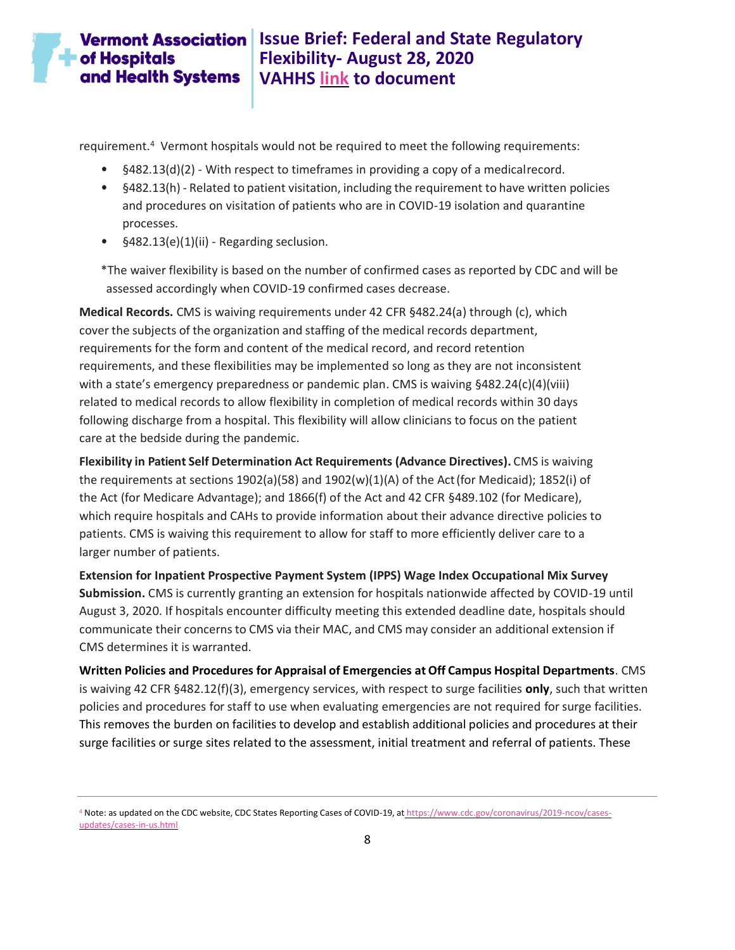requirement.<sup>4</sup> Vermont hospitals would not be required to meet the following requirements:

- §482.13(d)(2) With respect to timeframes in providing a copy of a medicalrecord.
- §482.13(h) Related to patient visitation, including the requirement to have written policies and procedures on visitation of patients who are in COVID-19 isolation and quarantine processes.
- §482.13(e)(1)(ii) Regarding seclusion.

\*The waiver flexibility is based on the number of confirmed cases as reported by CDC and will be assessed accordingly when COVID-19 confirmed cases decrease.

**Medical Records.** CMS is waiving requirements under 42 CFR §482.24(a) through (c), which cover the subjects of the organization and staffing of the medical records department, requirements for the form and content of the medical record, and record retention requirements, and these flexibilities may be implemented so long as they are not inconsistent with a state's emergency preparedness or pandemic plan. CMS is waiving §482.24(c)(4)(viii) related to medical records to allow flexibility in completion of medical records within 30 days following discharge from a hospital. This flexibility will allow clinicians to focus on the patient care at the bedside during the pandemic.

**Flexibility in Patient Self Determination Act Requirements (Advance Directives).** CMS is waiving the requirements at sections 1902(a)(58) and 1902(w)(1)(A) of the Act(for Medicaid); 1852(i) of the Act (for Medicare Advantage); and 1866(f) of the Act and 42 CFR §489.102 (for Medicare), which require hospitals and CAHs to provide information about their advance directive policies to patients. CMS is waiving this requirement to allow for staff to more efficiently deliver care to a larger number of patients.

**Extension for Inpatient Prospective Payment System (IPPS) Wage Index Occupational Mix Survey Submission.** CMS is currently granting an extension for hospitals nationwide affected by COVID-19 until August 3, 2020. If hospitals encounter difficulty meeting this extended deadline date, hospitals should communicate their concerns to CMS via their MAC, and CMS may consider an additional extension if CMS determines it is warranted.

**Written Policies and Procedures for Appraisal of Emergencies at Off Campus Hospital Departments**. CMS is waiving 42 CFR §482.12(f)(3), emergency services, with respect to surge facilities **only**, such that written policies and procedures for staff to use when evaluating emergencies are not required for surge facilities. This removes the burden on facilities to develop and establish additional policies and procedures at their surge facilities or surge sites related to the assessment, initial treatment and referral of patients. These

<sup>4</sup> Note: as updated on the CDC website, CDC States Reporting Cases of COVID-19, at [https://www.cdc.gov/coronavirus/2019-ncov/cases](https://www.cdc.gov/coronavirus/2019-ncov/cases-updates/cases-in-us.html)[updates/cases-in-us.html](https://www.cdc.gov/coronavirus/2019-ncov/cases-updates/cases-in-us.html)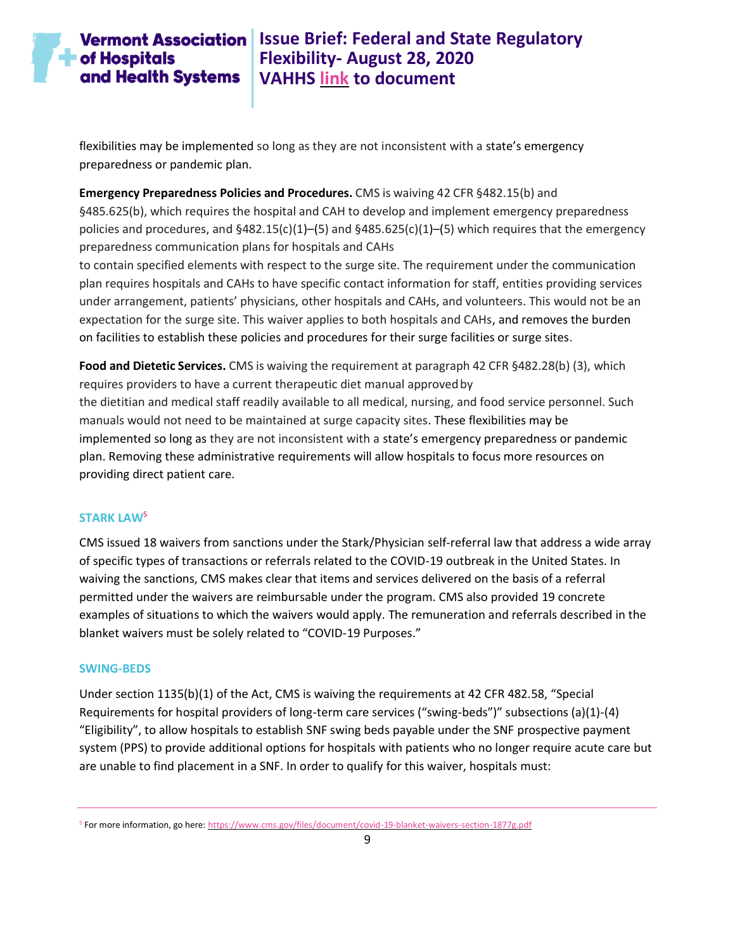# **Vermont Association** Issue Brief: Federal and State Regulatory **Flexibility- August 28, 2020 VAHHS [link](https://vahhs.org/coronavirus-resources-for-health-care-providers) to document**

flexibilities may be implemented so long as they are not inconsistent with a state's emergency preparedness or pandemic plan.

**Emergency Preparedness Policies and Procedures.** CMS is waiving 42 CFR §482.15(b) and §485.625(b), which requires the hospital and CAH to develop and implement emergency preparedness policies and procedures, and  $§482.15(c)(1)–(5)$  and  $§485.625(c)(1)–(5)$  which requires that the emergency preparedness communication plans for hospitals and CAHs

to contain specified elements with respect to the surge site. The requirement under the communication plan requires hospitals and CAHs to have specific contact information for staff, entities providing services under arrangement, patients' physicians, other hospitals and CAHs, and volunteers. This would not be an expectation for the surge site. This waiver applies to both hospitals and CAHs, and removes the burden on facilities to establish these policies and procedures for their surge facilities or surge sites.

**Food and Dietetic Services.** CMS is waiving the requirement at paragraph 42 CFR §482.28(b) (3), which requires providers to have a current therapeutic diet manual approvedby the dietitian and medical staff readily available to all medical, nursing, and food service personnel. Such manuals would not need to be maintained at surge capacity sites. These flexibilities may be implemented so long as they are not inconsistent with a state's emergency preparedness or pandemic plan. Removing these administrative requirements will allow hospitals to focus more resources on providing direct patient care.

#### <span id="page-8-0"></span>**STARK LAW<sup>5</sup>**

CMS issued 18 waivers from sanctions under the Stark/Physician self-referral law that address a wide array of specific types of transactions or referrals related to the COVID-19 outbreak in the United States. In waiving the sanctions, CMS makes clear that items and services delivered on the basis of a referral permitted under the waivers are reimbursable under the program. CMS also provided 19 concrete examples of situations to which the waivers would apply. The remuneration and referrals described in the blanket waivers must be solely related to "COVID-19 Purposes."

#### <span id="page-8-1"></span>**SWING-BEDS**

Under section 1135(b)(1) of the Act, CMS is waiving the requirements at 42 CFR 482.58, "Special Requirements for hospital providers of long-term care services ("swing-beds")" subsections (a)(1)-(4) "Eligibility", to allow hospitals to establish SNF swing beds payable under the SNF prospective payment system (PPS) to provide additional options for hospitals with patients who no longer require acute care but are unable to find placement in a SNF. In order to qualify for this waiver, hospitals must:

<sup>&</sup>lt;sup>5</sup> For more information, go here[: https://www.cms.gov/files/document/covid-19-blanket-waivers-section-1877g.pdf](https://www.cms.gov/files/document/covid-19-blanket-waivers-section-1877g.pdf)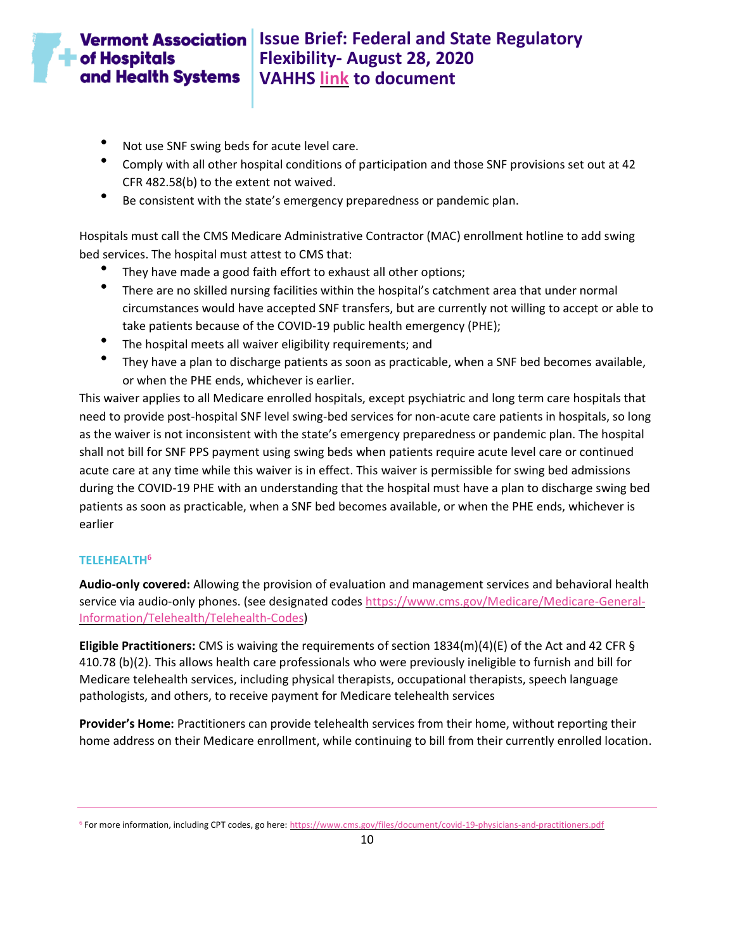# $\blacksquare$  of Hospitals and Health Systems

- Not use SNF swing beds for acute level care.
- Comply with all other hospital conditions of participation and those SNF provisions set out at 42 CFR 482.58(b) to the extent not waived.
- Be consistent with the state's emergency preparedness or pandemic plan.

Hospitals must call the CMS Medicare Administrative Contractor (MAC) enrollment hotline to add swing bed services. The hospital must attest to CMS that:

- They have made a good faith effort to exhaust all other options;
- There are no skilled nursing facilities within the hospital's catchment area that under normal circumstances would have accepted SNF transfers, but are currently not willing to accept or able to take patients because of the COVID-19 public health emergency (PHE);
- The hospital meets all waiver eligibility requirements; and
- They have a plan to discharge patients as soon as practicable, when a SNF bed becomes available, or when the PHE ends, whichever is earlier.

This waiver applies to all Medicare enrolled hospitals, except psychiatric and long term care hospitals that need to provide post-hospital SNF level swing-bed services for non-acute care patients in hospitals, so long as the waiver is not inconsistent with the state's emergency preparedness or pandemic plan. The hospital shall not bill for SNF PPS payment using swing beds when patients require acute level care or continued acute care at any time while this waiver is in effect. This waiver is permissible for swing bed admissions during the COVID-19 PHE with an understanding that the hospital must have a plan to discharge swing bed patients as soon as practicable, when a SNF bed becomes available, or when the PHE ends, whichever is earlier

#### <span id="page-9-0"></span>**TELEHEALTH<sup>6</sup>**

**Audio-only covered:** Allowing the provision of evaluation and management services and behavioral health service via audio-only phones. (see designated code[s https://www.cms.gov/Medicare/Medicare-General-](https://www.cms.gov/Medicare/Medicare-General-Information/Telehealth/Telehealth-Codes)[Information/Telehealth/Telehealth-Codes\)](https://www.cms.gov/Medicare/Medicare-General-Information/Telehealth/Telehealth-Codes)

**Eligible Practitioners:** CMS is waiving the requirements of section 1834(m)(4)(E) of the Act and 42 CFR § 410.78 (b)(2). This allows health care professionals who were previously ineligible to furnish and bill for Medicare telehealth services, including physical therapists, occupational therapists, speech language pathologists, and others, to receive payment for Medicare telehealth services

**Provider's Home:** Practitioners can provide telehealth services from their home, without reporting their home address on their Medicare enrollment, while continuing to bill from their currently enrolled location.

<sup>&</sup>lt;sup>6</sup> For more information, including CPT codes, go here[: https://www.cms.gov/files/document/covid-19-physicians-and-practitioners.pdf](https://www.cms.gov/files/document/covid-19-physicians-and-practitioners.pdf)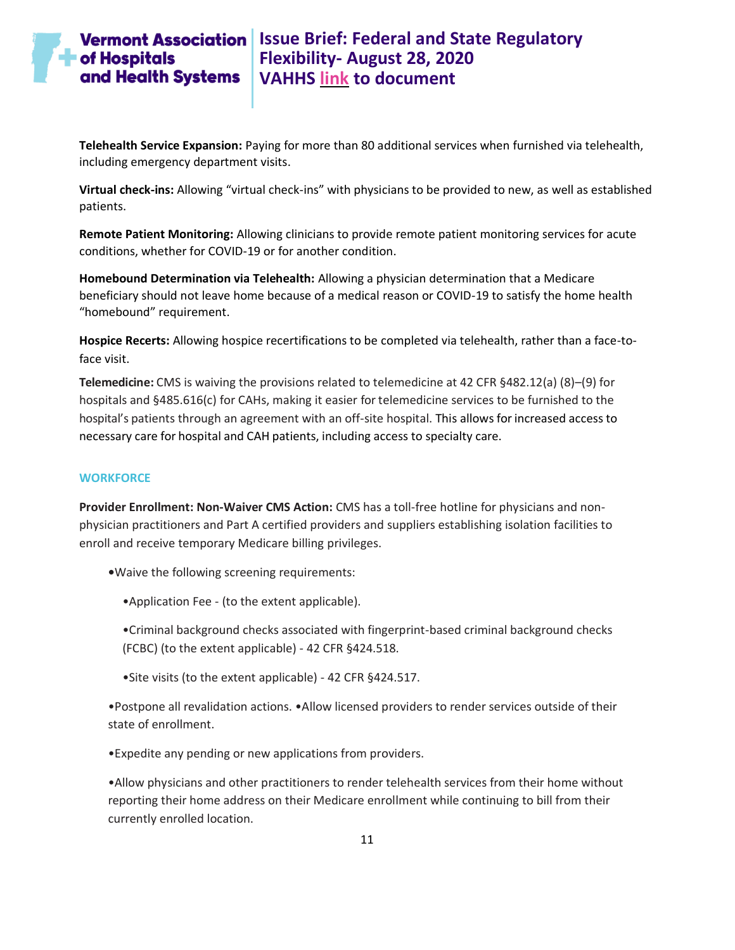**Telehealth Service Expansion:** Paying for more than 80 additional services when furnished via telehealth, including emergency department visits.

**Virtual check-ins:** Allowing "virtual check-ins" with physicians to be provided to new, as well as established patients.

**Remote Patient Monitoring:** Allowing clinicians to provide remote patient monitoring services for acute conditions, whether for COVID-19 or for another condition.

**Homebound Determination via Telehealth:** Allowing a physician determination that a Medicare beneficiary should not leave home because of a medical reason or COVID-19 to satisfy the home health "homebound" requirement.

**Hospice Recerts:** Allowing hospice recertifications to be completed via telehealth, rather than a face-toface visit.

**Telemedicine:** CMS is waiving the provisions related to telemedicine at 42 CFR §482.12(a) (8)–(9) for hospitals and §485.616(c) for CAHs, making it easier for telemedicine services to be furnished to the hospital's patients through an agreement with an off-site hospital. This allows for increased access to necessary care for hospital and CAH patients, including access to specialty care.

#### <span id="page-10-0"></span>**WORKFORCE**

**Provider Enrollment: Non-Waiver CMS Action:** CMS has a toll-free hotline for physicians and nonphysician practitioners and Part A certified providers and suppliers establishing isolation facilities to enroll and receive temporary Medicare billing privileges.

**•**Waive the following screening requirements:

•Application Fee - (to the extent applicable).

•Criminal background checks associated with fingerprint-based criminal background checks (FCBC) (to the extent applicable) - 42 CFR §424.518.

•Site visits (to the extent applicable) - 42 CFR §424.517.

•Postpone all revalidation actions. •Allow licensed providers to render services outside of their state of enrollment.

•Expedite any pending or new applications from providers.

•Allow physicians and other practitioners to render telehealth services from their home without reporting their home address on their Medicare enrollment while continuing to bill from their currently enrolled location.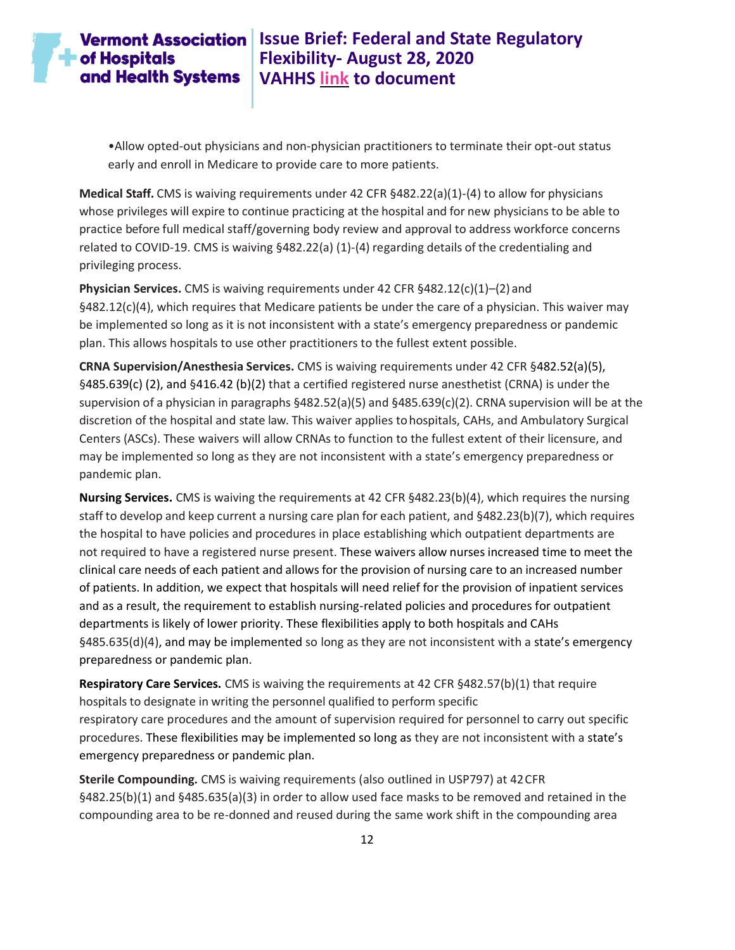# $\blacksquare$  of Hospitals and Health Systems

# **Vermont Association** | Issue Brief: Federal and State Regulatory **Flexibility- August 28, 2020 VAHHS [link](https://vahhs.org/coronavirus-resources-for-health-care-providers) to document**

•Allow opted-out physicians and non-physician practitioners to terminate their opt-out status early and enroll in Medicare to provide care to more patients.

**Medical Staff.** CMS is waiving requirements under 42 CFR §482.22(a)(1)-(4) to allow for physicians whose privileges will expire to continue practicing at the hospital and for new physicians to be able to practice before full medical staff/governing body review and approval to address workforce concerns related to COVID-19. CMS is waiving §482.22(a) (1)-(4) regarding details of the credentialing and privileging process.

**Physician Services.** CMS is waiving requirements under 42 CFR §482.12(c)(1)–(2) and §482.12(c)(4), which requires that Medicare patients be under the care of a physician. This waiver may be implemented so long as it is not inconsistent with a state's emergency preparedness or pandemic plan. This allows hospitals to use other practitioners to the fullest extent possible.

**CRNA Supervision/Anesthesia Services.** CMS is waiving requirements under 42 CFR §482.52(a)(5), §485.639(c) (2), and §416.42 (b)(2) that a certified registered nurse anesthetist (CRNA) is under the supervision of a physician in paragraphs §482.52(a)(5) and §485.639(c)(2). CRNA supervision will be at the discretion of the hospital and state law. This waiver applies tohospitals, CAHs, and Ambulatory Surgical Centers (ASCs). These waivers will allow CRNAs to function to the fullest extent of their licensure, and may be implemented so long as they are not inconsistent with a state's emergency preparedness or pandemic plan.

**Nursing Services.** CMS is waiving the requirements at 42 CFR §482.23(b)(4), which requires the nursing staff to develop and keep current a nursing care plan for each patient, and §482.23(b)(7), which requires the hospital to have policies and procedures in place establishing which outpatient departments are not required to have a registered nurse present. These waivers allow nurses increased time to meet the clinical care needs of each patient and allows for the provision of nursing care to an increased number of patients. In addition, we expect that hospitals will need relief for the provision of inpatient services and as a result, the requirement to establish nursing-related policies and procedures for outpatient departments is likely of lower priority. These flexibilities apply to both hospitals and CAHs §485.635(d)(4), and may be implemented so long as they are not inconsistent with a state's emergency preparedness or pandemic plan.

**Respiratory Care Services.** CMS is waiving the requirements at 42 CFR §482.57(b)(1) that require hospitals to designate in writing the personnel qualified to perform specific respiratory care procedures and the amount of supervision required for personnel to carry out specific procedures. These flexibilities may be implemented so long as they are not inconsistent with a state's emergency preparedness or pandemic plan.

**Sterile Compounding.** CMS is waiving requirements (also outlined in USP797) at 42CFR §482.25(b)(1) and §485.635(a)(3) in order to allow used face masks to be removed and retained in the compounding area to be re-donned and reused during the same work shift in the compounding area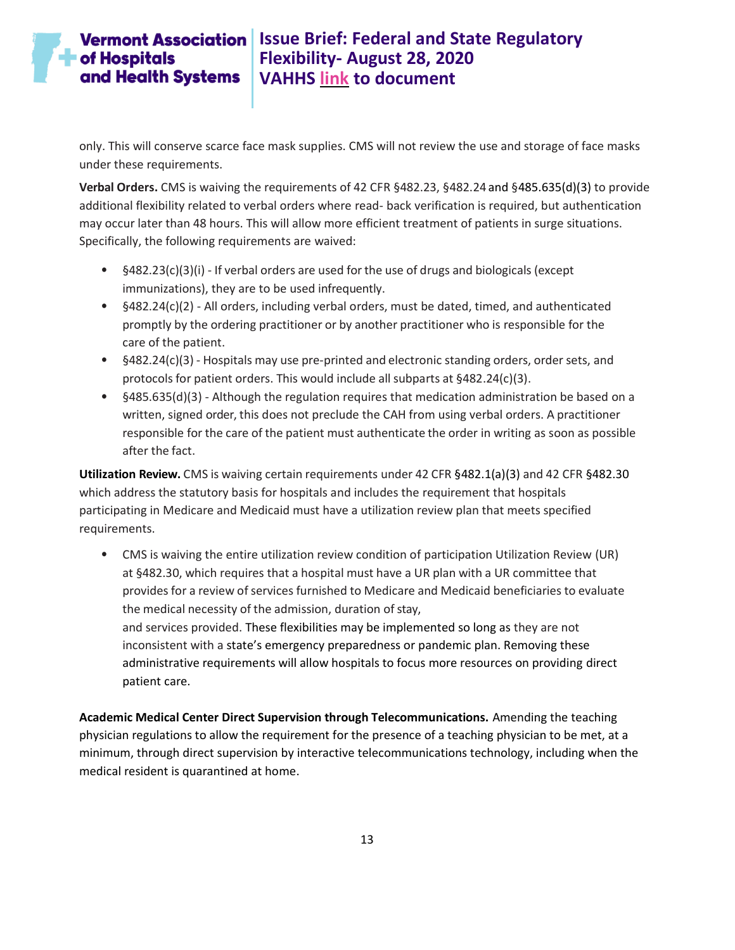only. This will conserve scarce face mask supplies. CMS will not review the use and storage of face masks under these requirements.

**Verbal Orders.** CMS is waiving the requirements of 42 CFR §482.23, §482.24 and §485.635(d)(3) to provide additional flexibility related to verbal orders where read- back verification is required, but authentication may occur later than 48 hours. This will allow more efficient treatment of patients in surge situations. Specifically, the following requirements are waived:

- $§482.23(c)(3)(i)$  If verbal orders are used for the use of drugs and biologicals (except immunizations), they are to be used infrequently.
- §482.24(c)(2) All orders, including verbal orders, must be dated, timed, and authenticated promptly by the ordering practitioner or by another practitioner who is responsible for the care of the patient.
- §482.24(c)(3) Hospitals may use pre-printed and electronic standing orders, order sets, and protocols for patient orders. This would include all subparts at §482.24(c)(3).
- §485.635(d)(3) Although the regulation requires that medication administration be based on a written, signed order, this does not preclude the CAH from using verbal orders. A practitioner responsible for the care of the patient must authenticate the order in writing as soon as possible after the fact.

**Utilization Review.** CMS is waiving certain requirements under 42 CFR §482.1(a)(3) and 42 CFR §482.30 which address the statutory basis for hospitals and includes the requirement that hospitals participating in Medicare and Medicaid must have a utilization review plan that meets specified requirements.

• CMS is waiving the entire utilization review condition of participation Utilization Review (UR) at §482.30, which requires that a hospital must have a UR plan with a UR committee that provides for a review of services furnished to Medicare and Medicaid beneficiaries to evaluate the medical necessity of the admission, duration of stay, and services provided. These flexibilities may be implemented so long as they are not inconsistent with a state's emergency preparedness or pandemic plan. Removing these administrative requirements will allow hospitals to focus more resources on providing direct patient care.

**Academic Medical Center Direct Supervision through Telecommunications.** Amending the teaching physician regulations to allow the requirement for the presence of a teaching physician to be met, at a minimum, through direct supervision by interactive telecommunications technology, including when the medical resident is quarantined at home.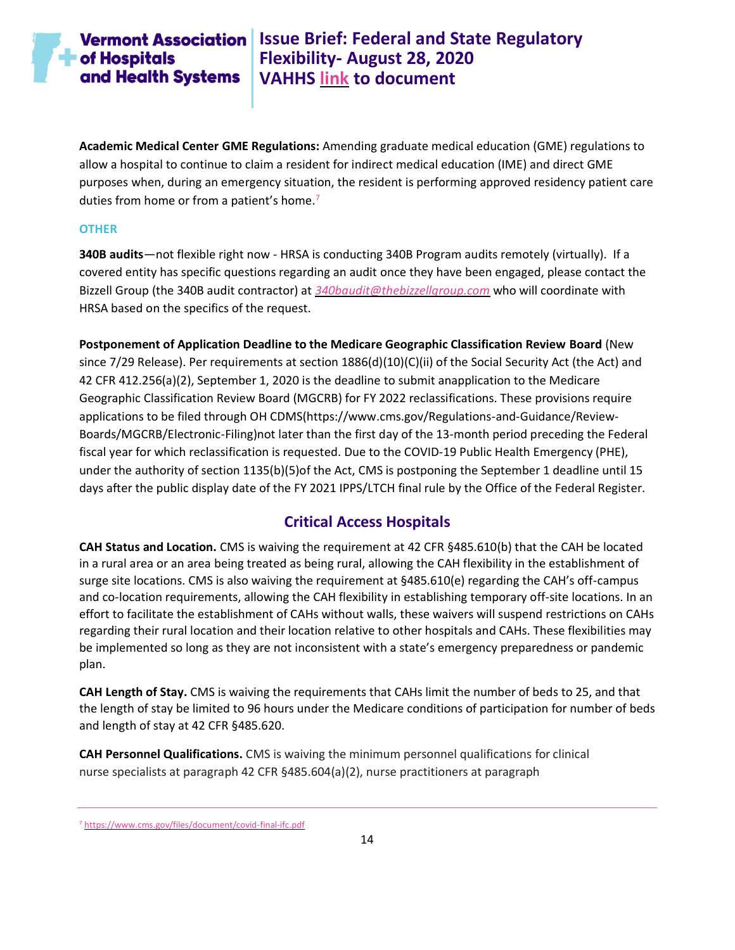**Academic Medical Center GME Regulations:** Amending graduate medical education (GME) regulations to allow a hospital to continue to claim a resident for indirect medical education (IME) and direct GME purposes when, during an emergency situation, the resident is performing approved residency patient care duties from home or from a patient's home.<sup>7</sup>

#### <span id="page-13-0"></span>**OTHER**

**340B audits**—not flexible right now - HRSA is conducting 340B Program audits remotely (virtually). If a covered entity has specific questions regarding an audit once they have been engaged, please contact the Bizzell Group (the 340B audit contractor) at *[340baudit@thebizzellgroup.com](mailto:340baudit@thebizzellgroup.com?subject=Virtual%20Audit%20Questions)* who will coordinate with HRSA based on the specifics of the request.

**Postponement of Application Deadline to the Medicare Geographic Classification Review Board** (New since 7/29 Release). Per requirements at section 1886(d)(10)(C)(ii) of the Social Security Act (the Act) and 42 CFR 412.256(a)(2), September 1, 2020 is the deadline to submit anapplication to the Medicare Geographic Classification Review Board (MGCRB) for FY 2022 reclassifications. These provisions require applications to be filed through OH CDMS(https://www.cms.gov/Regulations-and-Guidance/Review-Boards/MGCRB/Electronic-Filing)not later than the first day of the 13-month period preceding the Federal fiscal year for which reclassification is requested. Due to the COVID-19 Public Health Emergency (PHE), under the authority of section 1135(b)(5)of the Act, CMS is postponing the September 1 deadline until 15 days after the public display date of the FY 2021 IPPS/LTCH final rule by the Office of the Federal Register.

### **Critical Access Hospitals**

<span id="page-13-1"></span>**CAH Status and Location.** CMS is waiving the requirement at 42 CFR §485.610(b) that the CAH be located in a rural area or an area being treated as being rural, allowing the CAH flexibility in the establishment of surge site locations. CMS is also waiving the requirement at §485.610(e) regarding the CAH's off-campus and co-location requirements, allowing the CAH flexibility in establishing temporary off-site locations. In an effort to facilitate the establishment of CAHs without walls, these waivers will suspend restrictions on CAHs regarding their rural location and their location relative to other hospitals and CAHs. These flexibilities may be implemented so long as they are not inconsistent with a state's emergency preparedness or pandemic plan.

**CAH Length of Stay.** CMS is waiving the requirements that CAHs limit the number of beds to 25, and that the length of stay be limited to 96 hours under the Medicare conditions of participation for number of beds and length of stay at 42 CFR §485.620.

**CAH Personnel Qualifications.** CMS is waiving the minimum personnel qualifications for clinical nurse specialists at paragraph 42 CFR §485.604(a)(2), nurse practitioners at paragraph

<sup>7</sup> <https://www.cms.gov/files/document/covid-final-ifc.pdf>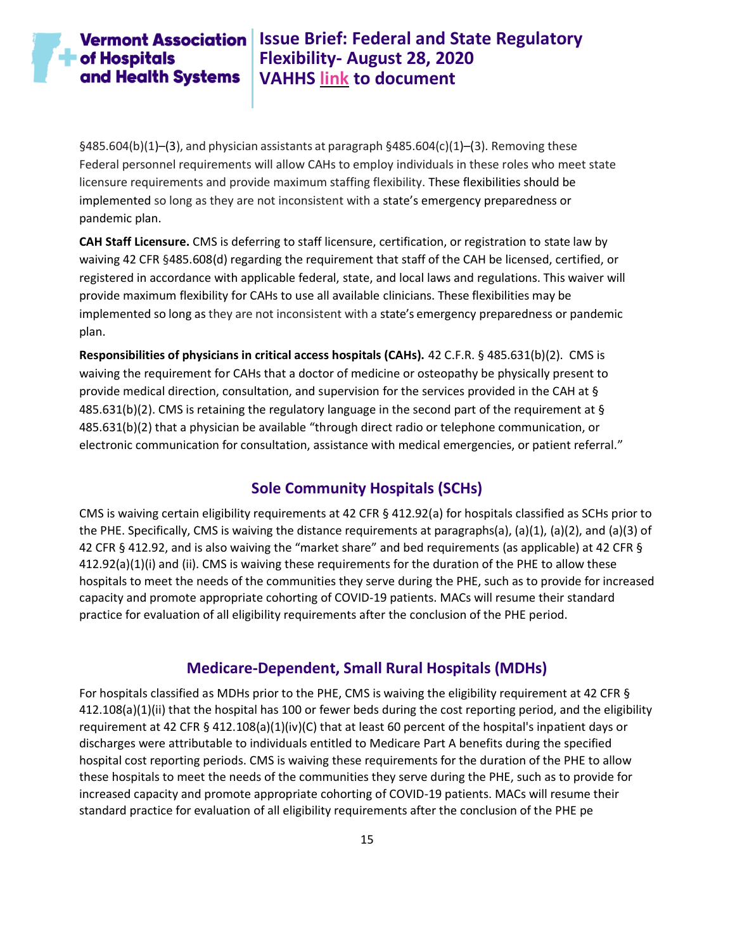# $\blacksquare$  of Hospitals and Health Systems

**Vermont Association** Issue Brief: Federal and State Regulatory **Flexibility- August 28, 2020 VAHHS [link](https://vahhs.org/coronavirus-resources-for-health-care-providers) to document**

 $§485.604(b)(1)–(3)$ , and physician assistants at paragraph  $§485.604(c)(1)–(3)$ . Removing these Federal personnel requirements will allow CAHs to employ individuals in these roles who meet state licensure requirements and provide maximum staffing flexibility. These flexibilities should be implemented so long as they are not inconsistent with a state's emergency preparedness or pandemic plan.

**CAH Staff Licensure.** CMS is deferring to staff licensure, certification, or registration to state law by waiving 42 CFR §485.608(d) regarding the requirement that staff of the CAH be licensed, certified, or registered in accordance with applicable federal, state, and local laws and regulations. This waiver will provide maximum flexibility for CAHs to use all available clinicians. These flexibilities may be implemented so long as they are not inconsistent with a state's emergency preparedness or pandemic plan.

**Responsibilities of physicians in critical access hospitals (CAHs).** 42 C.F.R. § 485.631(b)(2). CMS is waiving the requirement for CAHs that a doctor of medicine or osteopathy be physically present to provide medical direction, consultation, and supervision for the services provided in the CAH at § 485.631(b)(2). CMS is retaining the regulatory language in the second part of the requirement at § 485.631(b)(2) that a physician be available "through direct radio or telephone communication, or electronic communication for consultation, assistance with medical emergencies, or patient referral."

#### **Sole Community Hospitals (SCHs)**

<span id="page-14-0"></span>CMS is waiving certain eligibility requirements at 42 CFR § 412.92(a) for hospitals classified as SCHs prior to the PHE. Specifically, CMS is waiving the distance requirements at paragraphs(a), (a)(1), (a)(2), and (a)(3) of 42 CFR § 412.92, and is also waiving the "market share" and bed requirements (as applicable) at 42 CFR § 412.92(a)(1)(i) and (ii). CMS is waiving these requirements for the duration of the PHE to allow these hospitals to meet the needs of the communities they serve during the PHE, such as to provide for increased capacity and promote appropriate cohorting of COVID-19 patients. MACs will resume their standard practice for evaluation of all eligibility requirements after the conclusion of the PHE period.

#### **Medicare-Dependent, Small Rural Hospitals (MDHs)**

<span id="page-14-1"></span>For hospitals classified as MDHs prior to the PHE, CMS is waiving the eligibility requirement at 42 CFR § 412.108(a)(1)(ii) that the hospital has 100 or fewer beds during the cost reporting period, and the eligibility requirement at 42 CFR § 412.108(a)(1)(iv)(C) that at least 60 percent of the hospital's inpatient days or discharges were attributable to individuals entitled to Medicare Part A benefits during the specified hospital cost reporting periods. CMS is waiving these requirements for the duration of the PHE to allow these hospitals to meet the needs of the communities they serve during the PHE, such as to provide for increased capacity and promote appropriate cohorting of COVID-19 patients. MACs will resume their standard practice for evaluation of all eligibility requirements after the conclusion of the PHE pe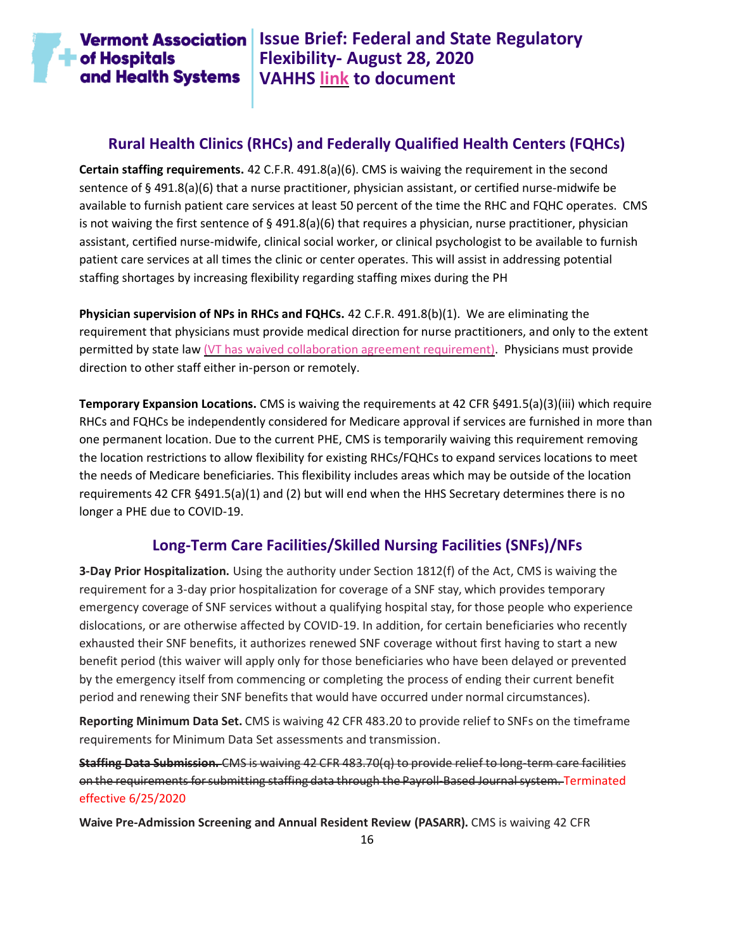

### **Rural Health Clinics (RHCs) and Federally Qualified Health Centers (FQHCs)**

<span id="page-15-0"></span>**Certain staffing requirements.** 42 C.F.R. 491.8(a)(6). CMS is waiving the requirement in the second sentence of § 491.8(a)(6) that a nurse practitioner, physician assistant, or certified nurse-midwife be available to furnish patient care services at least 50 percent of the time the RHC and FQHC operates. CMS is not waiving the first sentence of  $\S$  491.8(a)(6) that requires a physician, nurse practitioner, physician assistant, certified nurse-midwife, clinical social worker, or clinical psychologist to be available to furnish patient care services at all times the clinic or center operates. This will assist in addressing potential staffing shortages by increasing flexibility regarding staffing mixes during the PH

**Physician supervision of NPs in RHCs and FQHCs.** 42 C.F.R. 491.8(b)(1). We are eliminating the requirement that physicians must provide medical direction for nurse practitioners, and only to the extent permitted by state law [\(VT has waived collaboration agreement requirement\).](https://legislature.vermont.gov/Documents/2020/Docs/ACTS/ACT091/ACT091%20As%20Enacted.pdf#page=12&zoom=auto,-21,464) Physicians must provide direction to other staff either in-person or remotely.

**Temporary Expansion Locations.** CMS is waiving the requirements at 42 CFR §491.5(a)(3)(iii) which require RHCs and FQHCs be independently considered for Medicare approval if services are furnished in more than one permanent location. Due to the current PHE, CMS is temporarily waiving this requirement removing the location restrictions to allow flexibility for existing RHCs/FQHCs to expand services locations to meet the needs of Medicare beneficiaries. This flexibility includes areas which may be outside of the location requirements 42 CFR §491.5(a)(1) and (2) but will end when the HHS Secretary determines there is no longer a PHE due to COVID-19.

### **Long-Term Care Facilities/Skilled Nursing Facilities (SNFs)/NFs**

<span id="page-15-1"></span>**3-Day Prior Hospitalization.** Using the authority under Section 1812(f) of the Act, CMS is waiving the requirement for a 3-day prior hospitalization for coverage of a SNF stay, which provides temporary emergency coverage of SNF services without a qualifying hospital stay, for those people who experience dislocations, or are otherwise affected by COVID-19. In addition, for certain beneficiaries who recently exhausted their SNF benefits, it authorizes renewed SNF coverage without first having to start a new benefit period (this waiver will apply only for those beneficiaries who have been delayed or prevented by the emergency itself from commencing or completing the process of ending their current benefit period and renewing their SNF benefits that would have occurred under normal circumstances).

**Reporting Minimum Data Set.** CMS is waiving 42 CFR 483.20 to provide relief to SNFs on the timeframe requirements for Minimum Data Set assessments and transmission.

**Staffing Data Submission.** CMS is waiving 42 CFR 483.70(q) to provide relief to long-term care facilities on the requirements forsubmitting staffing data through the Payroll-Based Journal system. Terminated effective 6/25/2020

**Waive Pre-Admission Screening and Annual Resident Review (PASARR).** CMS is waiving 42 CFR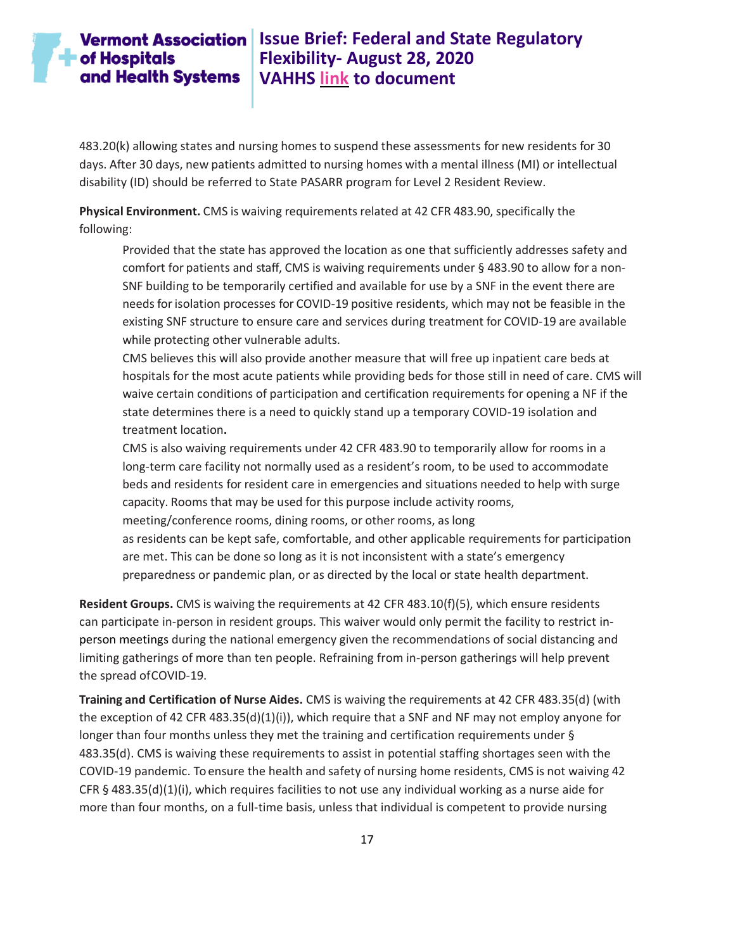### **Vermont Association** Issue Brief: Federal and State Regulatory **Flexibility- August 28, 2020 VAHHS [link](https://vahhs.org/coronavirus-resources-for-health-care-providers) to document**

483.20(k) allowing states and nursing homes to suspend these assessments for new residents for 30 days. After 30 days, new patients admitted to nursing homes with a mental illness (MI) or intellectual disability (ID) should be referred to State PASARR program for Level 2 Resident Review.

**Physical Environment.** CMS is waiving requirements related at 42 CFR 483.90, specifically the following:

Provided that the state has approved the location as one that sufficiently addresses safety and comfort for patients and staff, CMS is waiving requirements under § 483.90 to allow for a non-SNF building to be temporarily certified and available for use by a SNF in the event there are needs forisolation processes for COVID-19 positive residents, which may not be feasible in the existing SNF structure to ensure care and services during treatment for COVID-19 are available while protecting other vulnerable adults.

CMS believes this will also provide another measure that will free up inpatient care beds at hospitals for the most acute patients while providing beds for those still in need of care. CMS will waive certain conditions of participation and certification requirements for opening a NF if the state determines there is a need to quickly stand up a temporary COVID-19 isolation and treatment location**.**

CMS is also waiving requirements under 42 CFR 483.90 to temporarily allow for rooms in a long-term care facility not normally used as a resident's room, to be used to accommodate beds and residents for resident care in emergencies and situations needed to help with surge capacity. Rooms that may be used for this purpose include activity rooms, meeting/conference rooms, dining rooms, or other rooms, as long as residents can be kept safe, comfortable, and other applicable requirements for participation are met. This can be done so long as it is not inconsistent with a state's emergency

preparedness or pandemic plan, or as directed by the local or state health department.

**Resident Groups.** CMS is waiving the requirements at 42 CFR 483.10(f)(5), which ensure residents can participate in-person in resident groups. This waiver would only permit the facility to restrict inperson meetings during the national emergency given the recommendations of social distancing and limiting gatherings of more than ten people. Refraining from in-person gatherings will help prevent the spread ofCOVID-19.

**Training and Certification of Nurse Aides.** CMS is waiving the requirements at 42 CFR 483.35(d) (with the exception of 42 CFR 483.35(d)(1)(i)), which require that a SNF and NF may not employ anyone for longer than four months unless they met the training and certification requirements under § 483.35(d). CMS is waiving these requirements to assist in potential staffing shortages seen with the COVID-19 pandemic. To ensure the health and safety of nursing home residents, CMS is not waiving 42 CFR § 483.35(d)(1)(i), which requires facilities to not use any individual working as a nurse aide for more than four months, on a full-time basis, unless that individual is competent to provide nursing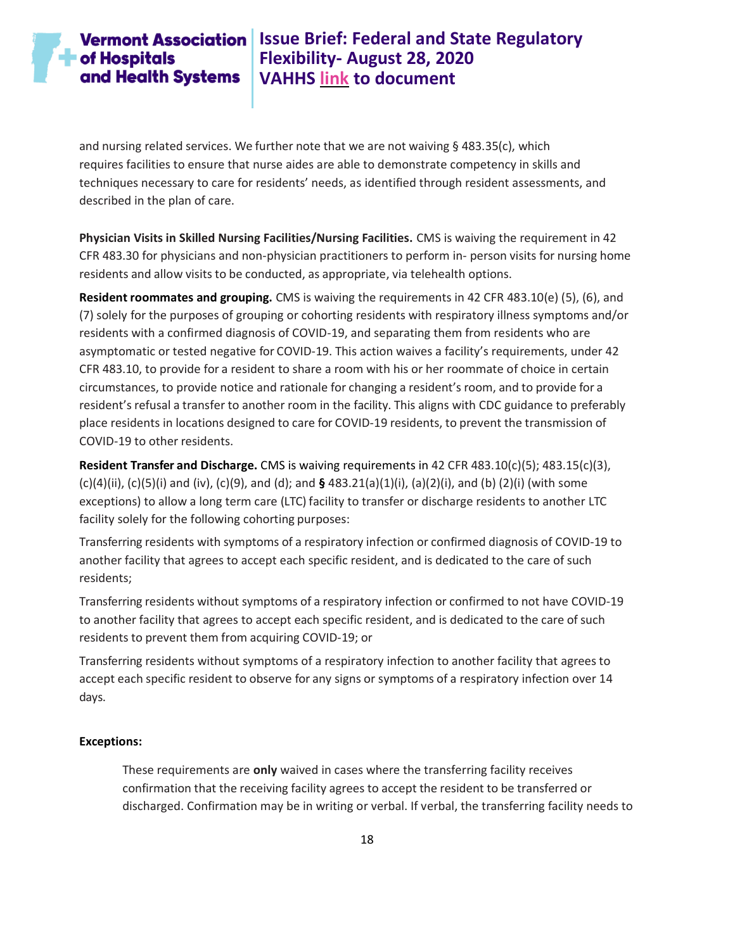# **Vermont Association** Issue Brief: Federal and State Regulatory **Flexibility- August 28, 2020 VAHHS [link](https://vahhs.org/coronavirus-resources-for-health-care-providers) to document**

and nursing related services. We further note that we are not waiving § 483.35(c), which requires facilities to ensure that nurse aides are able to demonstrate competency in skills and techniques necessary to care for residents' needs, as identified through resident assessments, and described in the plan of care.

**Physician Visits in Skilled Nursing Facilities/Nursing Facilities.** CMS is waiving the requirement in 42 CFR 483.30 for physicians and non-physician practitioners to perform in- person visits for nursing home residents and allow visits to be conducted, as appropriate, via telehealth options.

**Resident roommates and grouping.** CMS is waiving the requirements in 42 CFR 483.10(e) (5), (6), and (7) solely for the purposes of grouping or cohorting residents with respiratory illness symptoms and/or residents with a confirmed diagnosis of COVID-19, and separating them from residents who are asymptomatic or tested negative for COVID-19. This action waives a facility's requirements, under 42 CFR 483.10, to provide for a resident to share a room with his or her roommate of choice in certain circumstances, to provide notice and rationale for changing a resident's room, and to provide for a resident's refusal a transfer to another room in the facility. This aligns with CDC guidance to preferably place residents in locations designed to care for COVID-19 residents, to prevent the transmission of COVID-19 to other residents.

**Resident Transfer and Discharge.** CMS is waiving requirements in 42 CFR 483.10(c)(5); 483.15(c)(3), (c)(4)(ii), (c)(5)(i) and (iv), (c)(9), and (d); and **§** 483.21(a)(1)(i), (a)(2)(i), and (b) (2)(i) (with some exceptions) to allow a long term care (LTC) facility to transfer or discharge residents to another LTC facility solely for the following cohorting purposes:

Transferring residents with symptoms of a respiratory infection or confirmed diagnosis of COVID-19 to another facility that agrees to accept each specific resident, and is dedicated to the care of such residents;

Transferring residents without symptoms of a respiratory infection or confirmed to not have COVID-19 to another facility that agrees to accept each specific resident, and is dedicated to the care of such residents to prevent them from acquiring COVID-19; or

Transferring residents without symptoms of a respiratory infection to another facility that agrees to accept each specific resident to observe for any signs or symptoms of a respiratory infection over 14 days.

#### **Exceptions:**

These requirements are **only** waived in cases where the transferring facility receives confirmation that the receiving facility agrees to accept the resident to be transferred or discharged. Confirmation may be in writing or verbal. If verbal, the transferring facility needs to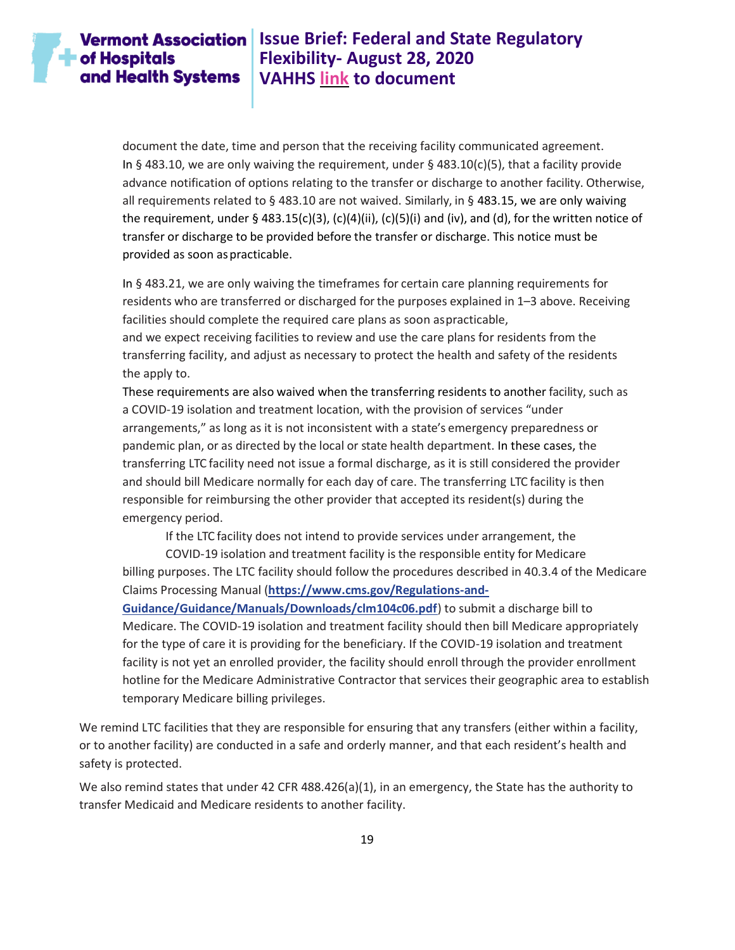# $\blacksquare$  of Hospitals and Health Systems

### **Vermont Association** Issue Brief: Federal and State Regulatory **Flexibility- August 28, 2020 VAHHS [link](https://vahhs.org/coronavirus-resources-for-health-care-providers) to document**

document the date, time and person that the receiving facility communicated agreement. In § 483.10, we are only waiving the requirement, under § 483.10(c)(5), that a facility provide advance notification of options relating to the transfer or discharge to another facility. Otherwise, all requirements related to § 483.10 are not waived. Similarly, in § 483.15, we are only waiving the requirement, under § 483.15(c)(3), (c)(4)(ii), (c)(5)(i) and (iv), and (d), for the written notice of transfer or discharge to be provided before the transfer or discharge. This notice must be provided as soon aspracticable.

In § 483.21, we are only waiving the timeframes for certain care planning requirements for residents who are transferred or discharged forthe purposes explained in 1–3 above. Receiving facilities should complete the required care plans as soon aspracticable,

and we expect receiving facilities to review and use the care plans for residents from the transferring facility, and adjust as necessary to protect the health and safety of the residents the apply to.

These requirements are also waived when the transferring residents to another facility, such as a COVID-19 isolation and treatment location, with the provision of services "under arrangements," as long as it is not inconsistent with a state's emergency preparedness or pandemic plan, or as directed by the local or state health department. In these cases, the transferring LTC facility need not issue a formal discharge, as it is still considered the provider and should bill Medicare normally for each day of care. The transferring LTC facility is then responsible for reimbursing the other provider that accepted its resident(s) during the emergency period.

If the LTC facility does not intend to provide services under arrangement, the

COVID-19 isolation and treatment facility is the responsible entity for Medicare billing purposes. The LTC facility should follow the procedures described in 40.3.4 of the Medicare Claims Processing Manual (**[https://www.cms.gov/Regulations-and-](https://www.cms.gov/Regulations-and-Guidance/Guidance/Manuals/Downloads/clm104c06.pdf)**

**[Guidance/Guidance/Manuals/Downloads/clm104c06.pdf](https://www.cms.gov/Regulations-and-Guidance/Guidance/Manuals/Downloads/clm104c06.pdf)**) to submit a discharge bill to Medicare. The COVID-19 isolation and treatment facility should then bill Medicare appropriately for the type of care it is providing for the beneficiary. If the COVID-19 isolation and treatment facility is not yet an enrolled provider, the facility should enroll through the provider enrollment hotline for the Medicare Administrative Contractor that services their geographic area to establish temporary Medicare billing privileges.

We remind LTC facilities that they are responsible for ensuring that any transfers (either within a facility, or to another facility) are conducted in a safe and orderly manner, and that each resident's health and safety is protected.

We also remind states that under 42 CFR 488.426(a)(1), in an emergency, the State has the authority to transfer Medicaid and Medicare residents to another facility.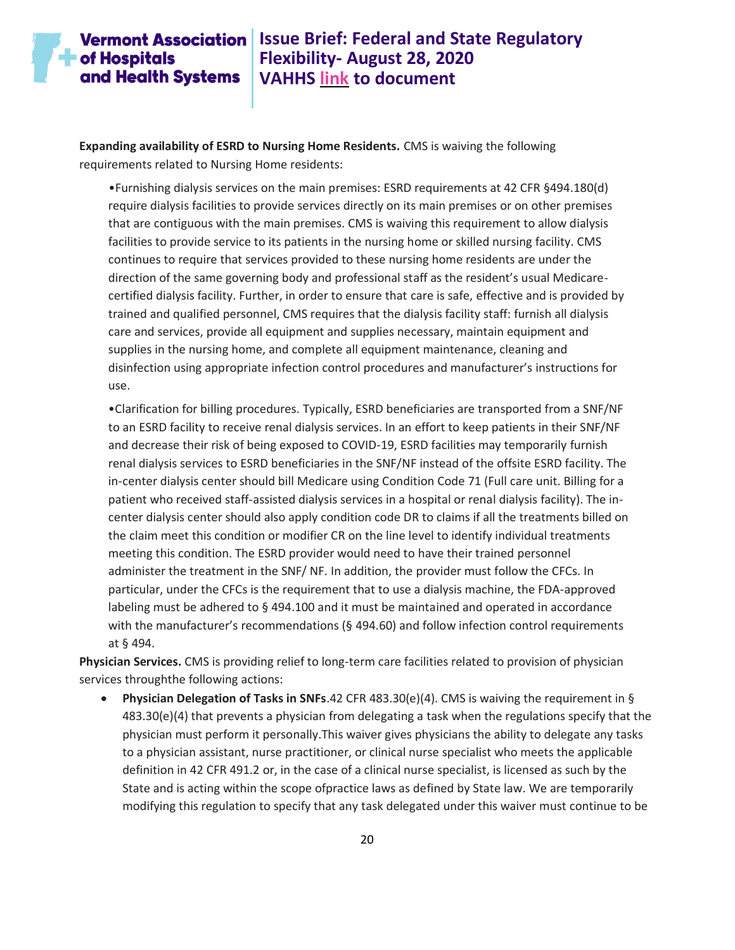### **Vermont Association | Issue Brief: Federal and State Regulatory Flexibility- August 28, 2020 VAHHS [link](https://vahhs.org/coronavirus-resources-for-health-care-providers) to document**

**Expanding availability of ESRD to Nursing Home Residents.** CMS is waiving the following requirements related to Nursing Home residents:

•Furnishing dialysis services on the main premises: ESRD requirements at 42 CFR §494.180(d) require dialysis facilities to provide services directly on its main premises or on other premises that are contiguous with the main premises. CMS is waiving this requirement to allow dialysis facilities to provide service to its patients in the nursing home or skilled nursing facility. CMS continues to require that services provided to these nursing home residents are under the direction of the same governing body and professional staff as the resident's usual Medicarecertified dialysis facility. Further, in order to ensure that care is safe, effective and is provided by trained and qualified personnel, CMS requires that the dialysis facility staff: furnish all dialysis care and services, provide all equipment and supplies necessary, maintain equipment and supplies in the nursing home, and complete all equipment maintenance, cleaning and disinfection using appropriate infection control procedures and manufacturer's instructions for use.

•Clarification for billing procedures. Typically, ESRD beneficiaries are transported from a SNF/NF to an ESRD facility to receive renal dialysis services. In an effort to keep patients in their SNF/NF and decrease their risk of being exposed to COVID-19, ESRD facilities may temporarily furnish renal dialysis services to ESRD beneficiaries in the SNF/NF instead of the offsite ESRD facility. The in-center dialysis center should bill Medicare using Condition Code 71 (Full care unit. Billing for a patient who received staff-assisted dialysis services in a hospital or renal dialysis facility). The incenter dialysis center should also apply condition code DR to claims if all the treatments billed on the claim meet this condition or modifier CR on the line level to identify individual treatments meeting this condition. The ESRD provider would need to have their trained personnel administer the treatment in the SNF/ NF. In addition, the provider must follow the CFCs. In particular, under the CFCs is the requirement that to use a dialysis machine, the FDA-approved labeling must be adhered to § 494.100 and it must be maintained and operated in accordance with the manufacturer's recommendations (§ 494.60) and follow infection control requirements at § 494.

**Physician Services.** CMS is providing relief to long-term care facilities related to provision of physician services throughthe following actions:

• **Physician Delegation of Tasks in SNFs**.42 CFR 483.30(e)(4). CMS is waiving the requirement in § 483.30(e)(4) that prevents a physician from delegating a task when the regulations specify that the physician must perform it personally.This waiver gives physicians the ability to delegate any tasks to a physician assistant, nurse practitioner, or clinical nurse specialist who meets the applicable definition in 42 CFR 491.2 or, in the case of a clinical nurse specialist, is licensed as such by the State and is acting within the scope ofpractice laws as defined by State law. We are temporarily modifying this regulation to specify that any task delegated under this waiver must continue to be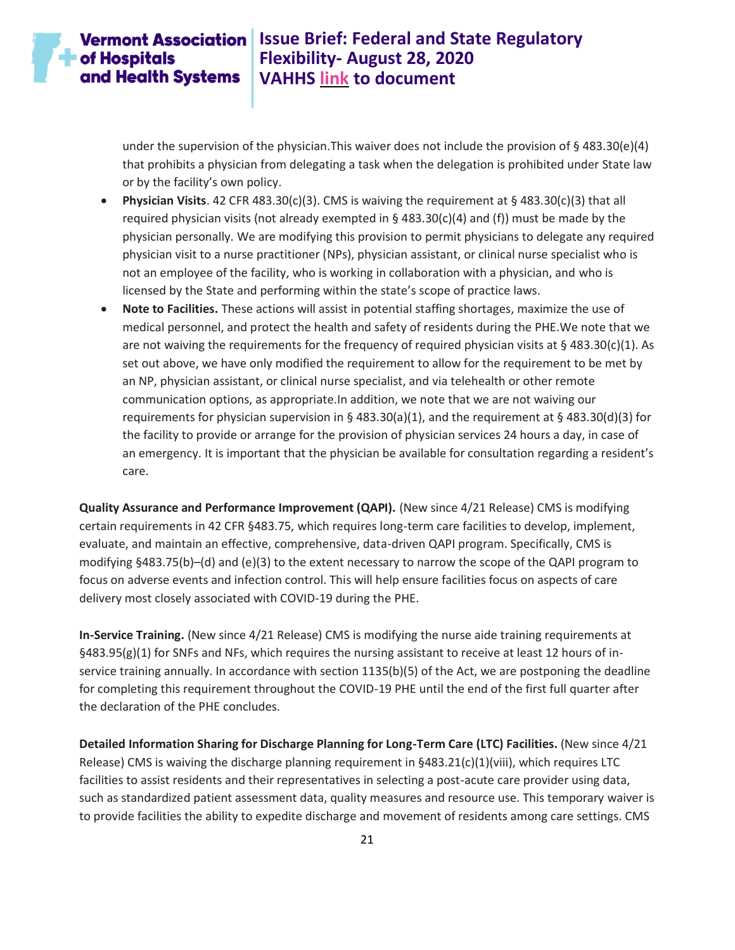### **Vermont Association** Issue Brief: Federal and State Regulatory **Flexibility- August 28, 2020 VAHHS [link](https://vahhs.org/coronavirus-resources-for-health-care-providers) to document**

under the supervision of the physician.This waiver does not include the provision of § 483.30(e)(4) that prohibits a physician from delegating a task when the delegation is prohibited under State law or by the facility's own policy.

- **Physician Visits**. 42 CFR 483.30(c)(3). CMS is waiving the requirement at § 483.30(c)(3) that all required physician visits (not already exempted in  $\S$  483.30(c)(4) and (f)) must be made by the physician personally. We are modifying this provision to permit physicians to delegate any required physician visit to a nurse practitioner (NPs), physician assistant, or clinical nurse specialist who is not an employee of the facility, who is working in collaboration with a physician, and who is licensed by the State and performing within the state's scope of practice laws.
- **Note to Facilities.** These actions will assist in potential staffing shortages, maximize the use of medical personnel, and protect the health and safety of residents during the PHE.We note that we are not waiving the requirements for the frequency of required physician visits at § 483.30(c)(1). As set out above, we have only modified the requirement to allow for the requirement to be met by an NP, physician assistant, or clinical nurse specialist, and via telehealth or other remote communication options, as appropriate.In addition, we note that we are not waiving our requirements for physician supervision in § 483.30(a)(1), and the requirement at § 483.30(d)(3) for the facility to provide or arrange for the provision of physician services 24 hours a day, in case of an emergency. It is important that the physician be available for consultation regarding a resident's care.

**Quality Assurance and Performance Improvement (QAPI).** (New since 4/21 Release) CMS is modifying certain requirements in 42 CFR §483.75, which requires long-term care facilities to develop, implement, evaluate, and maintain an effective, comprehensive, data-driven QAPI program. Specifically, CMS is modifying §483.75(b)–(d) and (e)(3) to the extent necessary to narrow the scope of the QAPI program to focus on adverse events and infection control. This will help ensure facilities focus on aspects of care delivery most closely associated with COVID-19 during the PHE.

**In-Service Training.** (New since 4/21 Release) CMS is modifying the nurse aide training requirements at §483.95(g)(1) for SNFs and NFs, which requires the nursing assistant to receive at least 12 hours of inservice training annually. In accordance with section 1135(b)(5) of the Act, we are postponing the deadline for completing this requirement throughout the COVID-19 PHE until the end of the first full quarter after the declaration of the PHE concludes.

**Detailed Information Sharing for Discharge Planning for Long-Term Care (LTC) Facilities.** (New since 4/21 Release) CMS is waiving the discharge planning requirement in  $\S 483.21(c)(1)(viii)$ , which requires LTC facilities to assist residents and their representatives in selecting a post-acute care provider using data, such as standardized patient assessment data, quality measures and resource use. This temporary waiver is to provide facilities the ability to expedite discharge and movement of residents among care settings. CMS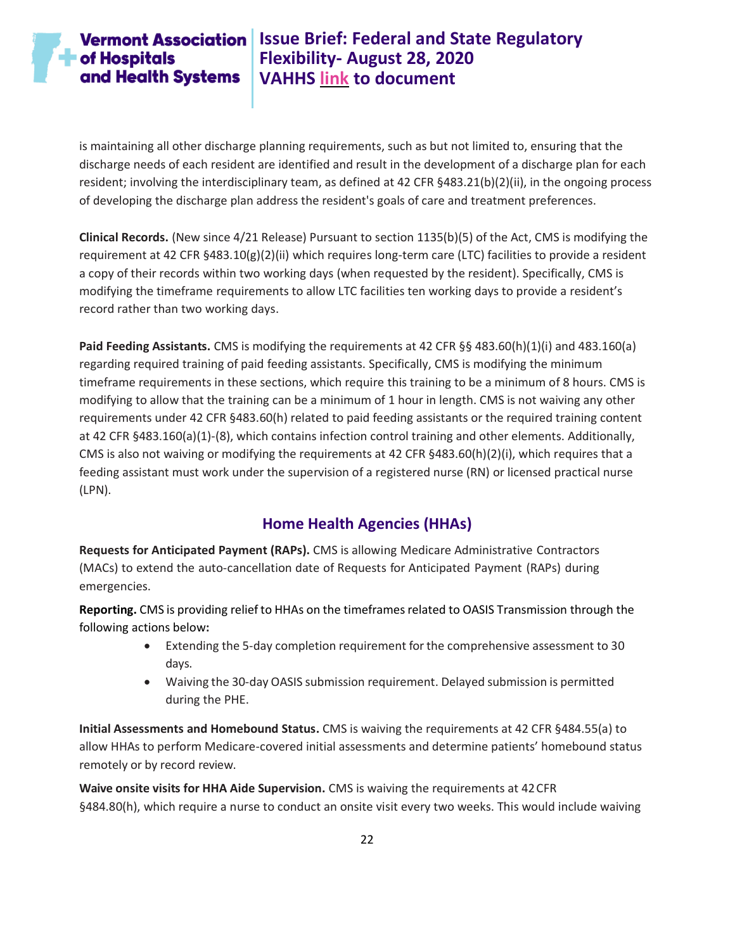# **Vermont Association** Issue Brief: Federal and State Regulatory **Flexibility- August 28, 2020 VAHHS [link](https://vahhs.org/coronavirus-resources-for-health-care-providers) to document**

is maintaining all other discharge planning requirements, such as but not limited to, ensuring that the discharge needs of each resident are identified and result in the development of a discharge plan for each resident; involving the interdisciplinary team, as defined at 42 CFR §483.21(b)(2)(ii), in the ongoing process of developing the discharge plan address the resident's goals of care and treatment preferences.

**Clinical Records.** (New since 4/21 Release) Pursuant to section 1135(b)(5) of the Act, CMS is modifying the requirement at 42 CFR §483.10(g)(2)(ii) which requires long-term care (LTC) facilities to provide a resident a copy of their records within two working days (when requested by the resident). Specifically, CMS is modifying the timeframe requirements to allow LTC facilities ten working days to provide a resident's record rather than two working days.

**Paid Feeding Assistants.** CMS is modifying the requirements at 42 CFR §§ 483.60(h)(1)(i) and 483.160(a) regarding required training of paid feeding assistants. Specifically, CMS is modifying the minimum timeframe requirements in these sections, which require this training to be a minimum of 8 hours. CMS is modifying to allow that the training can be a minimum of 1 hour in length. CMS is not waiving any other requirements under 42 CFR §483.60(h) related to paid feeding assistants or the required training content at 42 CFR §483.160(a)(1)-(8), which contains infection control training and other elements. Additionally, CMS is also not waiving or modifying the requirements at 42 CFR §483.60(h)(2)(i), which requires that a feeding assistant must work under the supervision of a registered nurse (RN) or licensed practical nurse (LPN).

### **Home Health Agencies (HHAs)**

<span id="page-21-0"></span>**Requests for Anticipated Payment (RAPs).** CMS is allowing Medicare Administrative Contractors (MACs) to extend the auto-cancellation date of Requests for Anticipated Payment (RAPs) during emergencies.

**Reporting.** CMS is providing relief to HHAs on the timeframesrelated to OASIS Transmission through the following actions below**:**

- Extending the 5-day completion requirement forthe comprehensive assessment to 30 days.
- Waiving the 30-day OASIS submission requirement. Delayed submission is permitted during the PHE.

**Initial Assessments and Homebound Status.** CMS is waiving the requirements at 42 CFR §484.55(a) to allow HHAs to perform Medicare-covered initial assessments and determine patients' homebound status remotely or by record review.

**Waive onsite visits for HHA Aide Supervision.** CMS is waiving the requirements at 42CFR §484.80(h), which require a nurse to conduct an onsite visit every two weeks. This would include waiving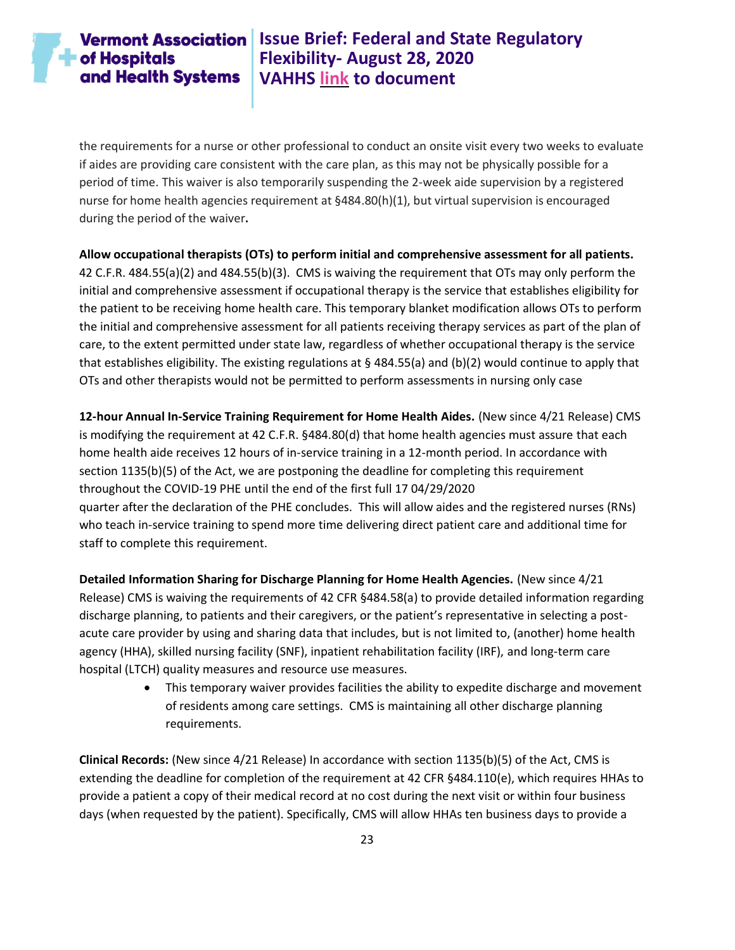# **Vermont Association** Issue Brief: Federal and State Regulatory **Flexibility- August 28, 2020 VAHHS [link](https://vahhs.org/coronavirus-resources-for-health-care-providers) to document**

the requirements for a nurse or other professional to conduct an onsite visit every two weeks to evaluate if aides are providing care consistent with the care plan, as this may not be physically possible for a period of time. This waiver is also temporarily suspending the 2-week aide supervision by a registered nurse for home health agencies requirement at §484.80(h)(1), but virtual supervision is encouraged during the period of the waiver**.**

#### **Allow occupational therapists (OTs) to perform initial and comprehensive assessment for all patients.**

42 C.F.R. 484.55(a)(2) and 484.55(b)(3). CMS is waiving the requirement that OTs may only perform the initial and comprehensive assessment if occupational therapy is the service that establishes eligibility for the patient to be receiving home health care. This temporary blanket modification allows OTs to perform the initial and comprehensive assessment for all patients receiving therapy services as part of the plan of care, to the extent permitted under state law, regardless of whether occupational therapy is the service that establishes eligibility. The existing regulations at § 484.55(a) and (b)(2) would continue to apply that OTs and other therapists would not be permitted to perform assessments in nursing only case

**12-hour Annual In-Service Training Requirement for Home Health Aides.** (New since 4/21 Release) CMS is modifying the requirement at 42 C.F.R. §484.80(d) that home health agencies must assure that each home health aide receives 12 hours of in-service training in a 12-month period. In accordance with section 1135(b)(5) of the Act, we are postponing the deadline for completing this requirement throughout the COVID-19 PHE until the end of the first full 17 04/29/2020 quarter after the declaration of the PHE concludes. This will allow aides and the registered nurses (RNs) who teach in-service training to spend more time delivering direct patient care and additional time for staff to complete this requirement.

**Detailed Information Sharing for Discharge Planning for Home Health Agencies.** (New since 4/21 Release) CMS is waiving the requirements of 42 CFR §484.58(a) to provide detailed information regarding discharge planning, to patients and their caregivers, or the patient's representative in selecting a postacute care provider by using and sharing data that includes, but is not limited to, (another) home health agency (HHA), skilled nursing facility (SNF), inpatient rehabilitation facility (IRF), and long-term care hospital (LTCH) quality measures and resource use measures.

> • This temporary waiver provides facilities the ability to expedite discharge and movement of residents among care settings. CMS is maintaining all other discharge planning requirements.

**Clinical Records:** (New since 4/21 Release) In accordance with section 1135(b)(5) of the Act, CMS is extending the deadline for completion of the requirement at 42 CFR §484.110(e), which requires HHAs to provide a patient a copy of their medical record at no cost during the next visit or within four business days (when requested by the patient). Specifically, CMS will allow HHAs ten business days to provide a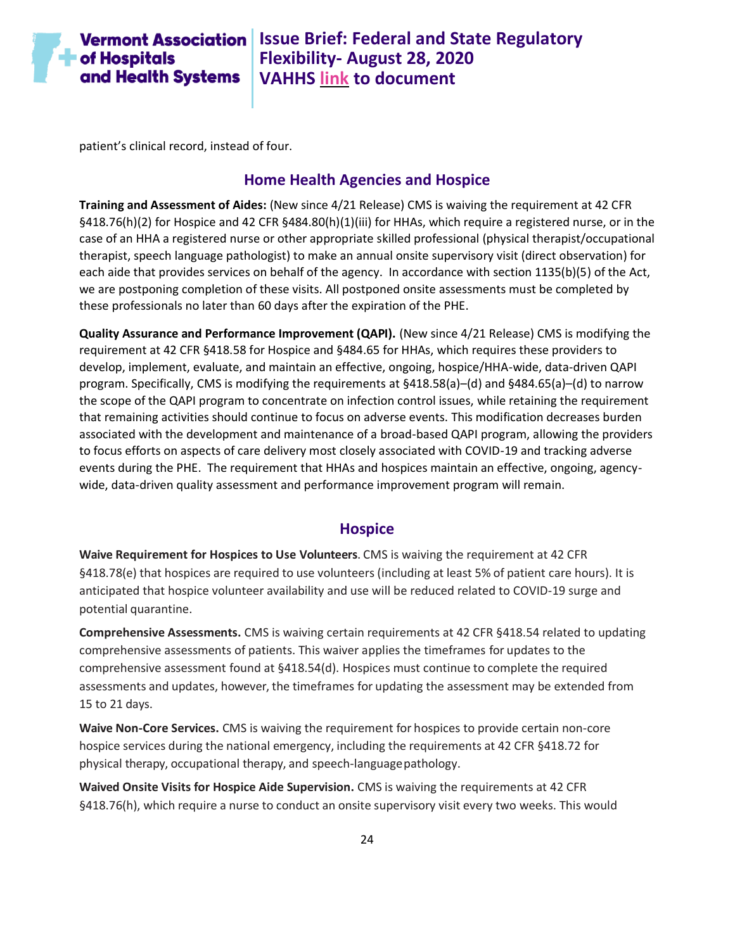

**Vermont Association** Issue Brief: Federal and State Regulatory **Flexibility- August 28, 2020 VAHHS [link](https://vahhs.org/coronavirus-resources-for-health-care-providers) to document**

patient's clinical record, instead of four.

#### **Home Health Agencies and Hospice**

<span id="page-23-0"></span>**Training and Assessment of Aides:** (New since 4/21 Release) CMS is waiving the requirement at 42 CFR §418.76(h)(2) for Hospice and 42 CFR §484.80(h)(1)(iii) for HHAs, which require a registered nurse, or in the case of an HHA a registered nurse or other appropriate skilled professional (physical therapist/occupational therapist, speech language pathologist) to make an annual onsite supervisory visit (direct observation) for each aide that provides services on behalf of the agency. In accordance with section 1135(b)(5) of the Act, we are postponing completion of these visits. All postponed onsite assessments must be completed by these professionals no later than 60 days after the expiration of the PHE.

**Quality Assurance and Performance Improvement (QAPI).** (New since 4/21 Release) CMS is modifying the requirement at 42 CFR §418.58 for Hospice and §484.65 for HHAs, which requires these providers to develop, implement, evaluate, and maintain an effective, ongoing, hospice/HHA-wide, data-driven QAPI program. Specifically, CMS is modifying the requirements at §418.58(a)–(d) and §484.65(a)–(d) to narrow the scope of the QAPI program to concentrate on infection control issues, while retaining the requirement that remaining activities should continue to focus on adverse events. This modification decreases burden associated with the development and maintenance of a broad-based QAPI program, allowing the providers to focus efforts on aspects of care delivery most closely associated with COVID-19 and tracking adverse events during the PHE. The requirement that HHAs and hospices maintain an effective, ongoing, agencywide, data-driven quality assessment and performance improvement program will remain.

#### **Hospice**

<span id="page-23-1"></span>**Waive Requirement for Hospices to Use Volunteers**. CMS is waiving the requirement at 42 CFR §418.78(e) that hospices are required to use volunteers (including at least 5% of patient care hours). It is anticipated that hospice volunteer availability and use will be reduced related to COVID-19 surge and potential quarantine.

**Comprehensive Assessments.** CMS is waiving certain requirements at 42 CFR §418.54 related to updating comprehensive assessments of patients. This waiver applies the timeframes for updates to the comprehensive assessment found at §418.54(d). Hospices must continue to complete the required assessments and updates, however, the timeframes for updating the assessment may be extended from 15 to 21 days.

**Waive Non-Core Services.** CMS is waiving the requirement for hospices to provide certain non-core hospice services during the national emergency, including the requirements at 42 CFR §418.72 for physical therapy, occupational therapy, and speech-languagepathology.

**Waived Onsite Visits for Hospice Aide Supervision.** CMS is waiving the requirements at 42 CFR §418.76(h), which require a nurse to conduct an onsite supervisory visit every two weeks. This would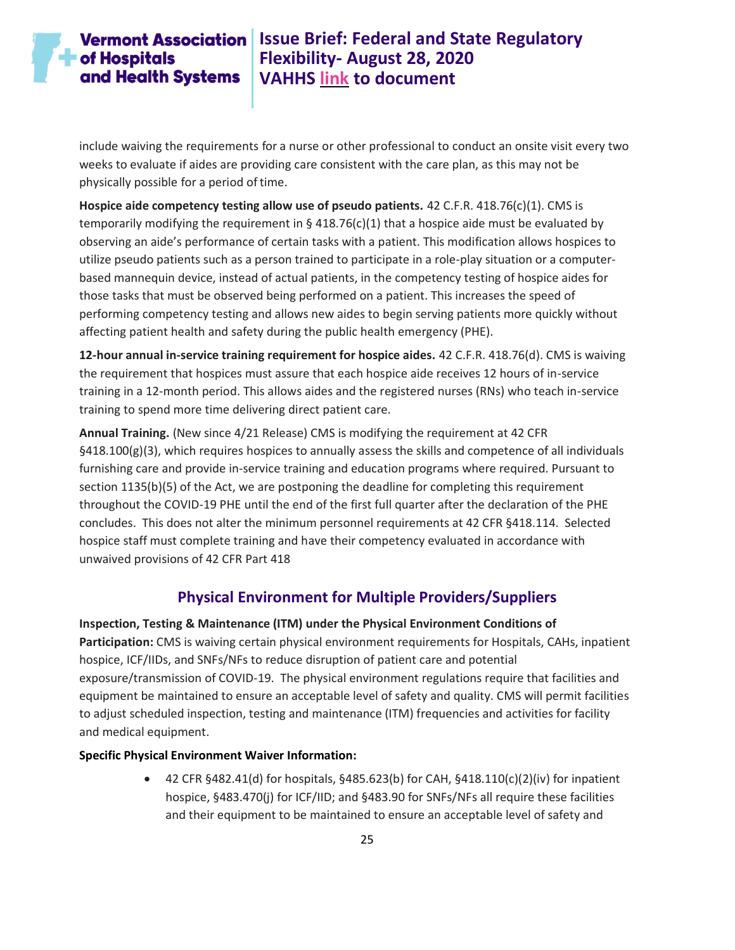# $\blacksquare$  of Hospitals and Health Systems

# **Vermont Association** Issue Brief: Federal and State Regulatory **Flexibility- August 28, 2020 VAHHS [link](https://vahhs.org/coronavirus-resources-for-health-care-providers) to document**

include waiving the requirements for a nurse or other professional to conduct an onsite visit every two weeks to evaluate if aides are providing care consistent with the care plan, as this may not be physically possible for a period of time.

**Hospice aide competency testing allow use of pseudo patients.** 42 C.F.R. 418.76(c)(1). CMS is temporarily modifying the requirement in § 418.76(c)(1) that a hospice aide must be evaluated by observing an aide's performance of certain tasks with a patient. This modification allows hospices to utilize pseudo patients such as a person trained to participate in a role-play situation or a computerbased mannequin device, instead of actual patients, in the competency testing of hospice aides for those tasks that must be observed being performed on a patient. This increases the speed of performing competency testing and allows new aides to begin serving patients more quickly without affecting patient health and safety during the public health emergency (PHE).

**12-hour annual in-service training requirement for hospice aides.** 42 C.F.R. 418.76(d). CMS is waiving the requirement that hospices must assure that each hospice aide receives 12 hours of in-service training in a 12-month period. This allows aides and the registered nurses (RNs) who teach in-service training to spend more time delivering direct patient care.

**Annual Training.** (New since 4/21 Release) CMS is modifying the requirement at 42 CFR §418.100(g)(3), which requires hospices to annually assess the skills and competence of all individuals furnishing care and provide in-service training and education programs where required. Pursuant to section 1135(b)(5) of the Act, we are postponing the deadline for completing this requirement throughout the COVID-19 PHE until the end of the first full quarter after the declaration of the PHE concludes. This does not alter the minimum personnel requirements at 42 CFR §418.114. Selected hospice staff must complete training and have their competency evaluated in accordance with unwaived provisions of 42 CFR Part 418

### **Physical Environment for Multiple Providers/Suppliers**

<span id="page-24-0"></span>**Inspection, Testing & Maintenance (ITM) under the Physical Environment Conditions of Participation:** CMS is waiving certain physical environment requirements for Hospitals, CAHs, inpatient hospice, ICF/IIDs, and SNFs/NFs to reduce disruption of patient care and potential exposure/transmission of COVID-19. The physical environment regulations require that facilities and equipment be maintained to ensure an acceptable level of safety and quality. CMS will permit facilities to adjust scheduled inspection, testing and maintenance (ITM) frequencies and activities for facility and medical equipment.

#### **Specific Physical Environment Waiver Information:**

• 42 CFR §482.41(d) for hospitals, §485.623(b) for CAH, §418.110(c)(2)(iv) for inpatient hospice, §483.470(j) for ICF/IID; and §483.90 for SNFs/NFs all require these facilities and their equipment to be maintained to ensure an acceptable level of safety and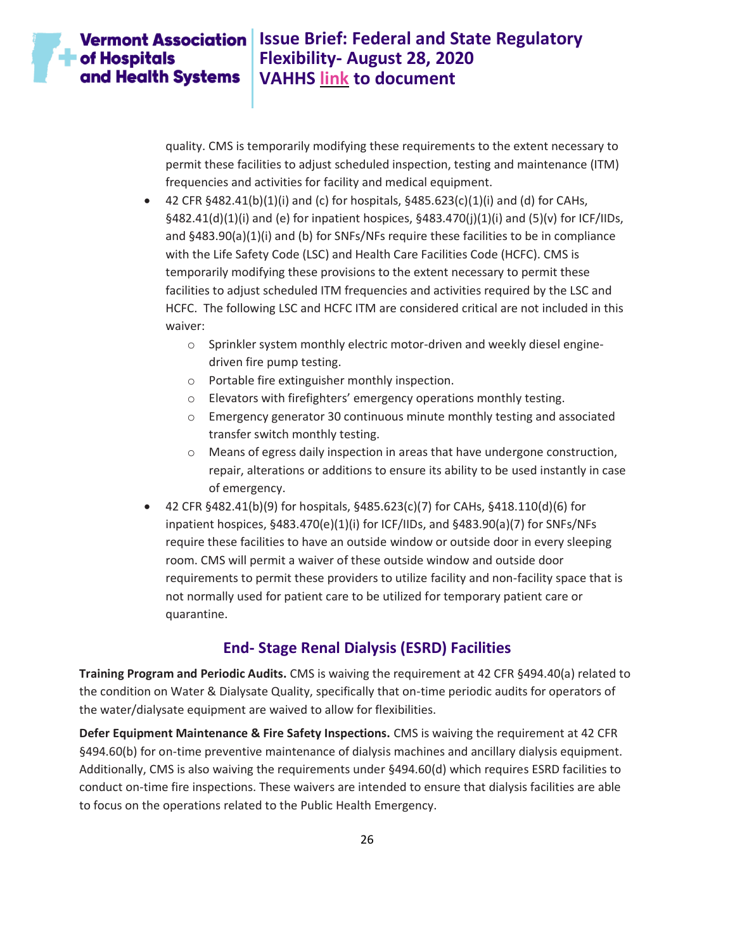# $\blacksquare$  of Hospitals and Health Systems

# **Vermont Association** Issue Brief: Federal and State Regulatory **Flexibility- August 28, 2020 VAHHS [link](https://vahhs.org/coronavirus-resources-for-health-care-providers) to document**

quality. CMS is temporarily modifying these requirements to the extent necessary to permit these facilities to adjust scheduled inspection, testing and maintenance (ITM) frequencies and activities for facility and medical equipment.

- 42 CFR  $§$ 482.41(b)(1)(i) and (c) for hospitals,  $§$ 485.623(c)(1)(i) and (d) for CAHs, §482.41(d)(1)(i) and (e) for inpatient hospices, §483.470(j)(1)(i) and (5)(v) for ICF/IIDs, and §483.90(a)(1)(i) and (b) for SNFs/NFs require these facilities to be in compliance with the Life Safety Code (LSC) and Health Care Facilities Code (HCFC). CMS is temporarily modifying these provisions to the extent necessary to permit these facilities to adjust scheduled ITM frequencies and activities required by the LSC and HCFC. The following LSC and HCFC ITM are considered critical are not included in this waiver:
	- o Sprinkler system monthly electric motor-driven and weekly diesel enginedriven fire pump testing.
	- o Portable fire extinguisher monthly inspection.
	- o Elevators with firefighters' emergency operations monthly testing.
	- o Emergency generator 30 continuous minute monthly testing and associated transfer switch monthly testing.
	- o Means of egress daily inspection in areas that have undergone construction, repair, alterations or additions to ensure its ability to be used instantly in case of emergency.
- 42 CFR §482.41(b)(9) for hospitals, §485.623(c)(7) for CAHs, §418.110(d)(6) for inpatient hospices, §483.470(e)(1)(i) for ICF/IIDs, and §483.90(a)(7) for SNFs/NFs require these facilities to have an outside window or outside door in every sleeping room. CMS will permit a waiver of these outside window and outside door requirements to permit these providers to utilize facility and non-facility space that is not normally used for patient care to be utilized for temporary patient care or quarantine.

### **End- Stage Renal Dialysis (ESRD) Facilities**

<span id="page-25-0"></span>**Training Program and Periodic Audits.** CMS is waiving the requirement at 42 CFR §494.40(a) related to the condition on Water & Dialysate Quality, specifically that on-time periodic audits for operators of the water/dialysate equipment are waived to allow for flexibilities.

**Defer Equipment Maintenance & Fire Safety Inspections.** CMS is waiving the requirement at 42 CFR §494.60(b) for on-time preventive maintenance of dialysis machines and ancillary dialysis equipment. Additionally, CMS is also waiving the requirements under §494.60(d) which requires ESRD facilities to conduct on-time fire inspections. These waivers are intended to ensure that dialysis facilities are able to focus on the operations related to the Public Health Emergency.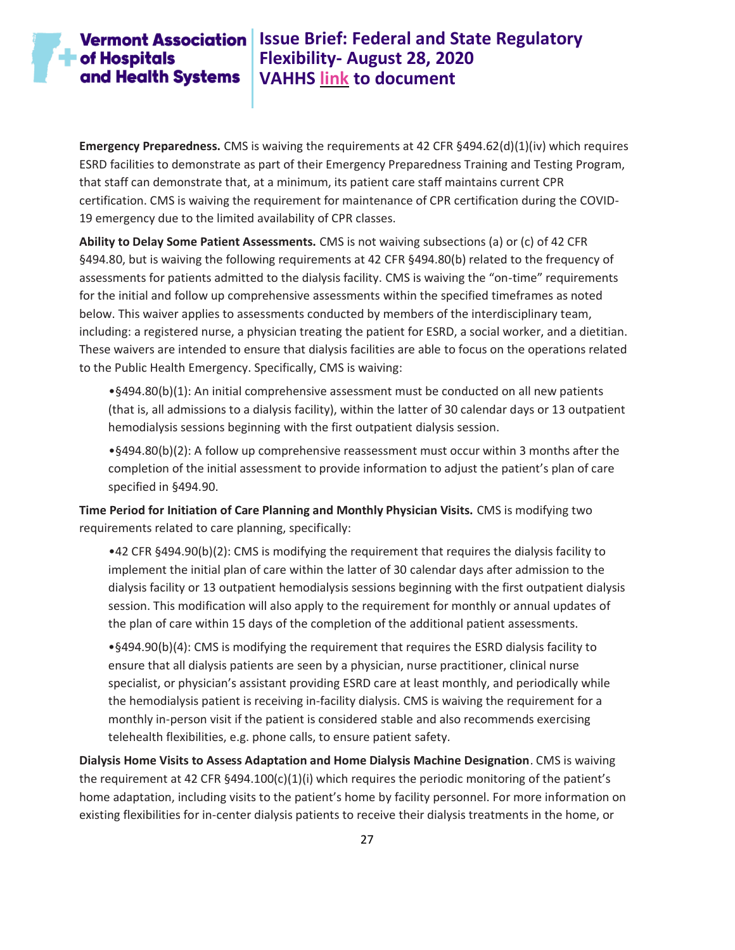# **Vermont Association | Issue Brief: Federal and State Regulatory Flexibility- August 28, 2020 VAHHS [link](https://vahhs.org/coronavirus-resources-for-health-care-providers) to document**

**Emergency Preparedness.** CMS is waiving the requirements at 42 CFR §494.62(d)(1)(iv) which requires ESRD facilities to demonstrate as part of their Emergency Preparedness Training and Testing Program, that staff can demonstrate that, at a minimum, its patient care staff maintains current CPR certification. CMS is waiving the requirement for maintenance of CPR certification during the COVID-19 emergency due to the limited availability of CPR classes.

**Ability to Delay Some Patient Assessments.** CMS is not waiving subsections (a) or (c) of 42 CFR §494.80, but is waiving the following requirements at 42 CFR §494.80(b) related to the frequency of assessments for patients admitted to the dialysis facility. CMS is waiving the "on-time" requirements for the initial and follow up comprehensive assessments within the specified timeframes as noted below. This waiver applies to assessments conducted by members of the interdisciplinary team, including: a registered nurse, a physician treating the patient for ESRD, a social worker, and a dietitian. These waivers are intended to ensure that dialysis facilities are able to focus on the operations related to the Public Health Emergency. Specifically, CMS is waiving:

•§494.80(b)(1): An initial comprehensive assessment must be conducted on all new patients (that is, all admissions to a dialysis facility), within the latter of 30 calendar days or 13 outpatient hemodialysis sessions beginning with the first outpatient dialysis session.

•§494.80(b)(2): A follow up comprehensive reassessment must occur within 3 months after the completion of the initial assessment to provide information to adjust the patient's plan of care specified in §494.90.

**Time Period for Initiation of Care Planning and Monthly Physician Visits.** CMS is modifying two requirements related to care planning, specifically:

•42 CFR §494.90(b)(2): CMS is modifying the requirement that requires the dialysis facility to implement the initial plan of care within the latter of 30 calendar days after admission to the dialysis facility or 13 outpatient hemodialysis sessions beginning with the first outpatient dialysis session. This modification will also apply to the requirement for monthly or annual updates of the plan of care within 15 days of the completion of the additional patient assessments.

•§494.90(b)(4): CMS is modifying the requirement that requires the ESRD dialysis facility to ensure that all dialysis patients are seen by a physician, nurse practitioner, clinical nurse specialist, or physician's assistant providing ESRD care at least monthly, and periodically while the hemodialysis patient is receiving in-facility dialysis. CMS is waiving the requirement for a monthly in-person visit if the patient is considered stable and also recommends exercising telehealth flexibilities, e.g. phone calls, to ensure patient safety.

**Dialysis Home Visits to Assess Adaptation and Home Dialysis Machine Designation**. CMS is waiving the requirement at 42 CFR  $§$ 494.100(c)(1)(i) which requires the periodic monitoring of the patient's home adaptation, including visits to the patient's home by facility personnel. For more information on existing flexibilities for in-center dialysis patients to receive their dialysis treatments in the home, or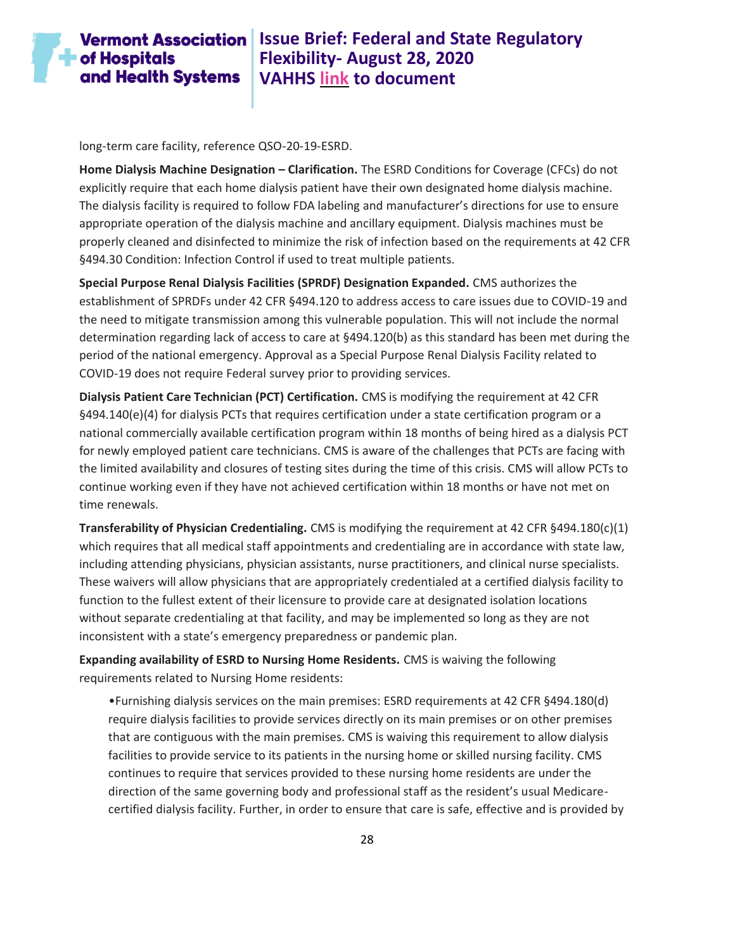

### **Vermont Association** Issue Brief: Federal and State Regulatory **Flexibility- August 28, 2020 VAHHS [link](https://vahhs.org/coronavirus-resources-for-health-care-providers) to document**

long-term care facility, reference QSO-20-19-ESRD.

**Home Dialysis Machine Designation – Clarification.** The ESRD Conditions for Coverage (CFCs) do not explicitly require that each home dialysis patient have their own designated home dialysis machine. The dialysis facility is required to follow FDA labeling and manufacturer's directions for use to ensure appropriate operation of the dialysis machine and ancillary equipment. Dialysis machines must be properly cleaned and disinfected to minimize the risk of infection based on the requirements at 42 CFR §494.30 Condition: Infection Control if used to treat multiple patients.

**Special Purpose Renal Dialysis Facilities (SPRDF) Designation Expanded.** CMS authorizes the establishment of SPRDFs under 42 CFR §494.120 to address access to care issues due to COVID-19 and the need to mitigate transmission among this vulnerable population. This will not include the normal determination regarding lack of access to care at §494.120(b) as this standard has been met during the period of the national emergency. Approval as a Special Purpose Renal Dialysis Facility related to COVID-19 does not require Federal survey prior to providing services.

**Dialysis Patient Care Technician (PCT) Certification.** CMS is modifying the requirement at 42 CFR §494.140(e)(4) for dialysis PCTs that requires certification under a state certification program or a national commercially available certification program within 18 months of being hired as a dialysis PCT for newly employed patient care technicians. CMS is aware of the challenges that PCTs are facing with the limited availability and closures of testing sites during the time of this crisis. CMS will allow PCTs to continue working even if they have not achieved certification within 18 months or have not met on time renewals.

**Transferability of Physician Credentialing.** CMS is modifying the requirement at 42 CFR §494.180(c)(1) which requires that all medical staff appointments and credentialing are in accordance with state law, including attending physicians, physician assistants, nurse practitioners, and clinical nurse specialists. These waivers will allow physicians that are appropriately credentialed at a certified dialysis facility to function to the fullest extent of their licensure to provide care at designated isolation locations without separate credentialing at that facility, and may be implemented so long as they are not inconsistent with a state's emergency preparedness or pandemic plan.

**Expanding availability of ESRD to Nursing Home Residents.** CMS is waiving the following requirements related to Nursing Home residents:

•Furnishing dialysis services on the main premises: ESRD requirements at 42 CFR §494.180(d) require dialysis facilities to provide services directly on its main premises or on other premises that are contiguous with the main premises. CMS is waiving this requirement to allow dialysis facilities to provide service to its patients in the nursing home or skilled nursing facility. CMS continues to require that services provided to these nursing home residents are under the direction of the same governing body and professional staff as the resident's usual Medicarecertified dialysis facility. Further, in order to ensure that care is safe, effective and is provided by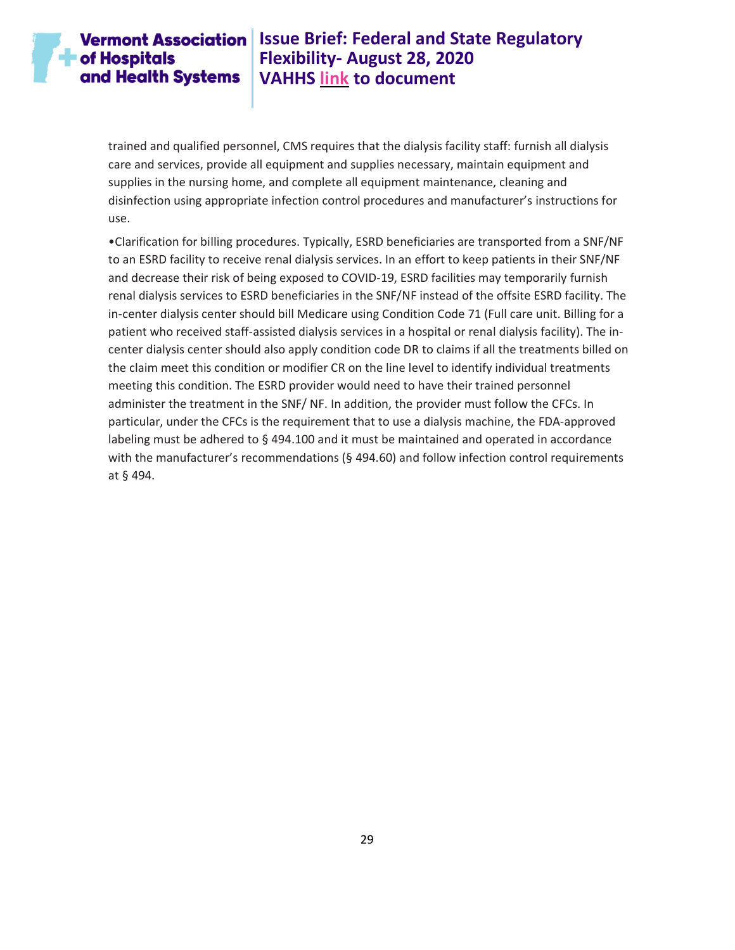### **Vermont Association**  $\blacksquare$  of Hospitals and Health Systems

# **Issue Brief: Federal and State Regulatory Flexibility- August 28, 2020 VAHHS [link](https://vahhs.org/coronavirus-resources-for-health-care-providers) to document**

trained and qualified personnel, CMS requires that the dialysis facility staff: furnish all dialysis care and services, provide all equipment and supplies necessary, maintain equipment and supplies in the nursing home, and complete all equipment maintenance, cleaning and disinfection using appropriate infection control procedures and manufacturer's instructions for use.

•Clarification for billing procedures. Typically, ESRD beneficiaries are transported from a SNF/NF to an ESRD facility to receive renal dialysis services. In an effort to keep patients in their SNF/NF and decrease their risk of being exposed to COVID-19, ESRD facilities may temporarily furnish renal dialysis services to ESRD beneficiaries in the SNF/NF instead of the offsite ESRD facility. The in-center dialysis center should bill Medicare using Condition Code 71 (Full care unit. Billing for a patient who received staff-assisted dialysis services in a hospital or renal dialysis facility). The incenter dialysis center should also apply condition code DR to claims if all the treatments billed on the claim meet this condition or modifier CR on the line level to identify individual treatments meeting this condition. The ESRD provider would need to have their trained personnel administer the treatment in the SNF/ NF. In addition, the provider must follow the CFCs. In particular, under the CFCs is the requirement that to use a dialysis machine, the FDA-approved labeling must be adhered to § 494.100 and it must be maintained and operated in accordance with the manufacturer's recommendations (§ 494.60) and follow infection control requirements at § 494.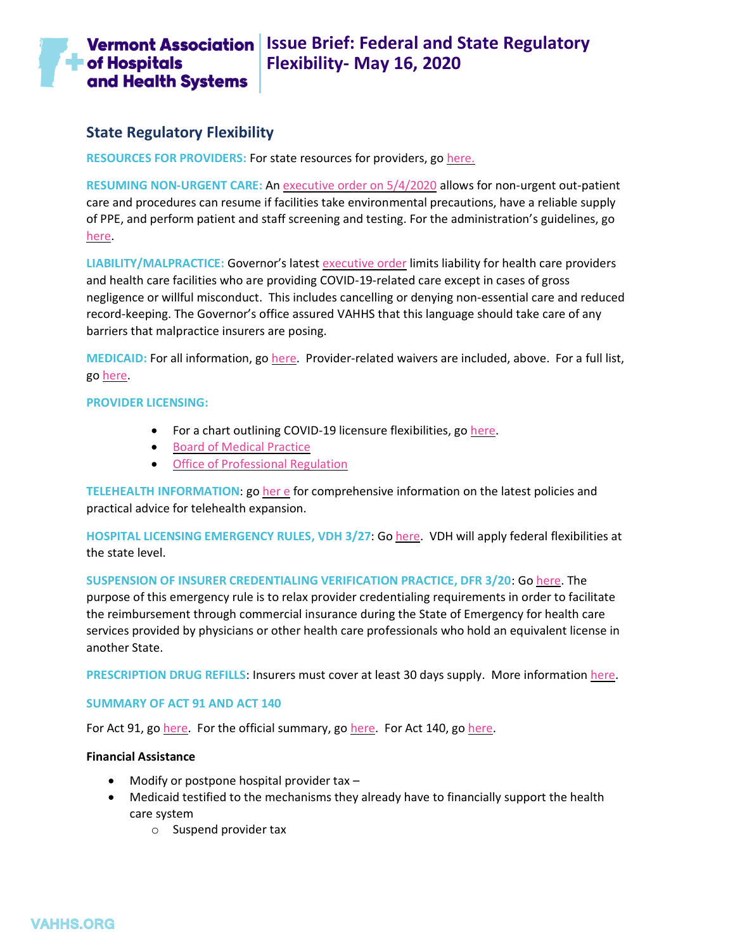

### <span id="page-29-0"></span>**State Regulatory Flexibility**

<span id="page-29-1"></span>**RESOURCES FOR PROVIDERS:** For state resources for providers, go [here.](https://www.healthvermont.gov/response/infectious-disease/novel-coronavirus-covid-19-health-care-professionals)

<span id="page-29-2"></span>**RESUMING NON-URGENT CARE:** A[n executive order on 5/4/2020](https://governor.vermont.gov/sites/scott/files/documents/AMENDMENT%20TO%20ADDENDUM%203%20TO%20EXECUTIVE%20ORDER%2001-20.pdf) allows for non-urgent out-patient care and procedures can resume if facilities take environmental precautions, have a reliable supply of PPE, and perform patient and staff screening and testing. For the administration's guidelines, go [here.](https://www.healthvermont.gov/sites/default/files/documents/pdf/Phase-One-Openings-Outpatient-Procedures.pdf)

<span id="page-29-3"></span>**LIABILITY/MALPRACTICE:** Governor's latest [executive order](https://governor.vermont.gov/sites/scott/files/documents/ADDENDUM%209%20TO%20EXECUTIVE%20ORDER%2001-20.pdf#page=4&zoom=auto,-73,437) limits liability for health care providers and health care facilities who are providing COVID-19-related care except in cases of gross negligence or willful misconduct. This includes cancelling or denying non-essential care and reduced record-keeping. The Governor's office assured VAHHS that this language should take care of any barriers that malpractice insurers are posing.

<span id="page-29-4"></span>**MEDICAID:** For all information, go [here.](https://dvha.vermont.gov/covid-19) Provider-related waivers are included, above. For a full list, go [here.](https://www.medicaid.gov/state-resource-center/disaster-response-toolkit/federal-disaster-resources/entry/54091)

#### <span id="page-29-5"></span>**PROVIDER LICENSING:**

- For a chart outlining COVID-19 licensure flexibilities, go [here.](https://vahhs.org/client_media/files/Coronavirus/VT%20Licensure%20COVID%2019%203%2024%2020%20v3.pdf)
- [Board of Medical Practice](https://www.healthvermont.gov/health-professionals-systems/board-medical-practice/COVID19)
- [Office of Professional Regulation](https://sos.vermont.gov/opr/about-opr/covid-19-response/)

<span id="page-29-6"></span>**TELEHEALTH INFORMATION**: g[o her](https://www.vpqhc.org/statewide-telehealth-work-group) e for comprehensive information on the latest policies and practical advice for telehealth expansion.

<span id="page-29-7"></span>**HOSPITAL LICENSING EMERGENCY RULES, VDH 3/27**: G[o here.](https://www.healthvermont.gov/sites/default/files/documents/pdf/Hospital%20Licensing%20Rule%20-%20E-filing%20Clean%20Text%20.pdf) VDH will apply federal flexibilities at the state level.

<span id="page-29-8"></span>**SUSPENSION OF INSURER CREDENTIALING VERIFICATION PRACTICE, DFR 3/20**: G[o here.](https://dfr.vermont.gov/reg-bul-ord/suspension-credentialing-verification-practices) The purpose of this emergency rule is to relax provider credentialing requirements in order to facilitate the reimbursement through commercial insurance during the State of Emergency for health care services provided by physicians or other health care professionals who hold an equivalent license in another State.

<span id="page-29-9"></span>**PRESCRIPTION DRUG REFILLS**: Insurers must cover at least 30 days supply. More information [here.](https://dfr.vermont.gov/reg-bul-ord/covid-19-prescription-drug-refills)

#### <span id="page-29-10"></span>**SUMMARY OF ACT 91 AND ACT 140**

For Act 91, go [here.](https://legislature.vermont.gov/Documents/2020/Docs/ACTS/ACT140/ACT140%20As%20Enacted.pdf) For the official summary, go here. For Act 140, go here.

#### <span id="page-29-11"></span>**Financial Assistance**

- Modify or postpone hospital provider tax –
- Medicaid testified to the mechanisms they already have to financially support the health care system
	- o Suspend provider tax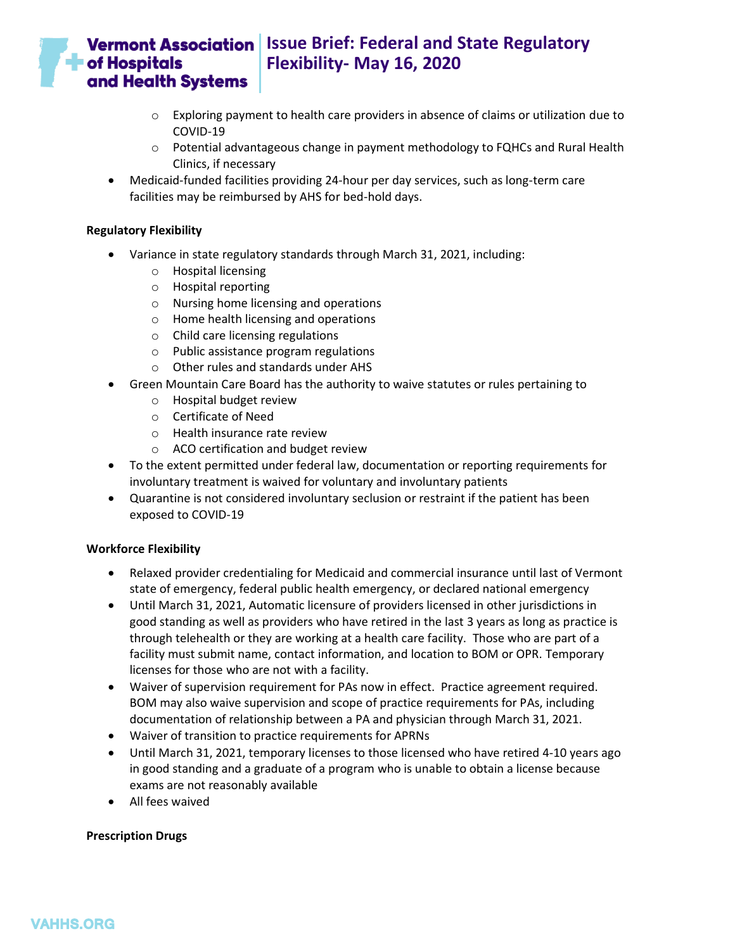

# **Vermont Association** | Issue Brief: Federal and State Regulatory **Flexibility- May 16, 2020**

- $\circ$  Exploring payment to health care providers in absence of claims or utilization due to COVID-19
- $\circ$  Potential advantageous change in payment methodology to FQHCs and Rural Health Clinics, if necessary
- Medicaid-funded facilities providing 24-hour per day services, such as long-term care facilities may be reimbursed by AHS for bed-hold days.

#### <span id="page-30-0"></span>**Regulatory Flexibility**

- Variance in state regulatory standards through March 31, 2021, including:
	- o Hospital licensing
	- o Hospital reporting
	- o Nursing home licensing and operations
	- o Home health licensing and operations
	- o Child care licensing regulations
	- o Public assistance program regulations
	- o Other rules and standards under AHS
- Green Mountain Care Board has the authority to waive statutes or rules pertaining to
	- o Hospital budget review
	- o Certificate of Need
	- o Health insurance rate review
	- o ACO certification and budget review
- To the extent permitted under federal law, documentation or reporting requirements for involuntary treatment is waived for voluntary and involuntary patients
- Quarantine is not considered involuntary seclusion or restraint if the patient has been exposed to COVID-19

#### <span id="page-30-1"></span>**Workforce Flexibility**

- Relaxed provider credentialing for Medicaid and commercial insurance until last of Vermont state of emergency, federal public health emergency, or declared national emergency
- Until March 31, 2021, Automatic licensure of providers licensed in other jurisdictions in good standing as well as providers who have retired in the last 3 years as long as practice is through telehealth or they are working at a health care facility. Those who are part of a facility must submit name, contact information, and location to BOM or OPR. Temporary licenses for those who are not with a facility.
- Waiver of supervision requirement for PAs now in effect. Practice agreement required. BOM may also waive supervision and scope of practice requirements for PAs, including documentation of relationship between a PA and physician through March 31, 2021.
- Waiver of transition to practice requirements for APRNs
- Until March 31, 2021, temporary licenses to those licensed who have retired 4-10 years ago in good standing and a graduate of a program who is unable to obtain a license because exams are not reasonably available
- All fees waived

#### <span id="page-30-2"></span>**Prescription Drugs**